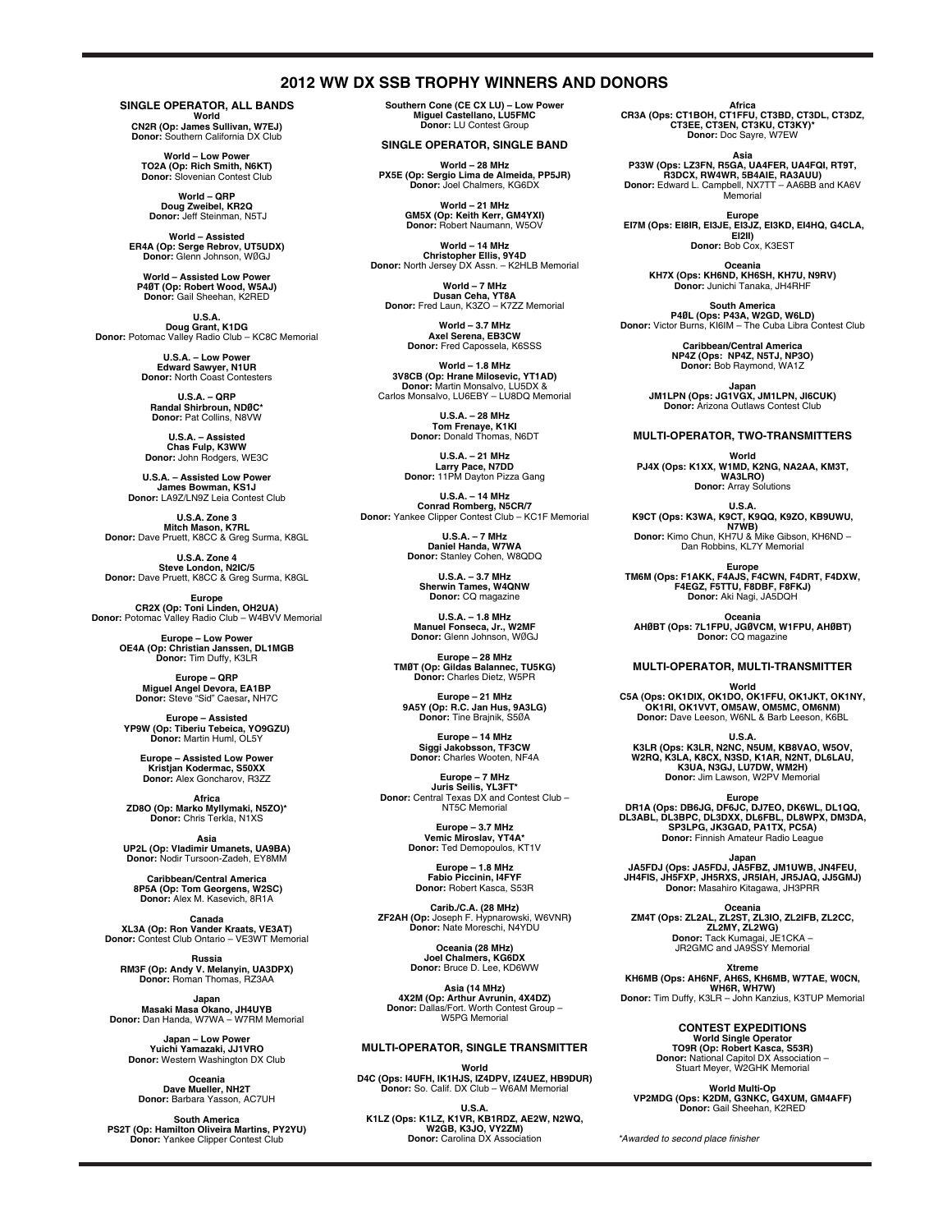### **2012 WW DX SSB TROPHY WINNERS AND DONORS**

**SINGLE OPERATOR, ALL BANDS**

**World<br>CN2R (Op: James Sullivan, W7EJ)<br><b>Donor:** Southern California DX Club

**World – Low Power TO2A (Op: Rich Smith, N6KT) Donor:** Slovenian Contest Club

**World – QRP Doug Zweibel, KR2Q Donor:** Jeff Steinman, N5TJ

**World – Assisted ER4A (Op: Serge Rebrov, UT5UDX) Donor:** Glenn Johnson, WØGJ

**World – Assisted Low Power P4ØT (Op: Robert Wood, W5AJ) Donor:** Gail Sheehan, K2RED

**U.S.A.<br>Doug Grant, K1DG<br><b>Donor:** Potomac Valley Radio Club – KC8C Memorial

U.S.A. - Low Pow **Edward Sawyer, N1UR Donor:** North Coast Contesters

**U.S.A. – QRP Randal Shirbroun, NDØC\* Donor:** Pat Collins, N8VW

**U.S.A. – Assisted Chas Fulp, K3WW Donor:** John Rodgers, WE3C

**U.S.A. – Assisted Low Power James Bowman, KS1J Donor:** LA9Z/LN9Z Leia Contest Club

**U.S.A. Zone 3 Mitch Mason, K7RL Donor:** Dave Pruett, K8CC & Greg Surma, K8GL

**U.S.A. Zone 4 Steve London, N2IC/5 Donor:** Dave Pruett, K8CC & Greg Surma, K8GL

**Europe CR2X (Op: Toni Linden, OH2UA)** Donor: Potomac Valley Radio Club - W4BVV Memorial

**Europe – Low Power OE4A (Op: Christian Janssen, DL1MGB Donor:** Tim Duffy, K3LR

**Europe – QRP Miguel Angel Devora, EA1BP Donor:** Steve "Sid" Caesar**,** NH7C

**Europe – Assisted YP9W (Op: Tiberiu Tebeica, YO9GZU) Donor:** Martin Huml, OL5Y

**Europe – Assisted Low Power Kristjan Kodermac, S50XX Donor:** Alex Goncharov, R3ZZ

**Africa ZD8O (Op: Marko Myllymaki, N5ZO)\* Donor:** Chris Terkla, N1XS

**Asia<br><b>UP2L (Op: Vladimir Umanets, UA9BA)**<br>Donor: Nodir Tursoon-Zadeh, EY8MM

**Caribbean/Central America 8P5A (Op: Tom Georgens, W2SC) Donor:** Alex M. Kasevich, 8R1A

**Canada XL3A (Op: Ron Vander Kraats, VE3AT) Donor:** Contest Club Ontario – VE3WT Memorial

**Russia RM3F (Op: Andy V. Melanyin, UA3DPX) Donor:** Roman Thomas, RZ3AA

**Japan Masaki Masa Okano, JH4UYB Donor:** Dan Handa, W7WA – W7RM Memorial

**Japan – Low Power Yuichi Yamazaki, JJ1VRO Donor:** Western Washington DX Club

**Oceania Dave Mueller, NH2T Donor:** Barbara Yasson, AC7UH

**South America PS2T (Op: Hamilton Oliveira Martins, PY2YU)** Donor: Yankee Clipper Contest Club

**Southern Cone (CE CX LU) – Low Power Miguel Castellano, LU5FMC Donor:** LU Contest Group

**SINGLE OPERATOR, SINGLE BAND**

**World – 28 MHz PX5E (Op: Sergio Lima de Almeida, PP5JR) Donor:** Joel Chalmers, KG6DX

> **World – 21 MHz GM5X (Op: Keith Kerr, GM4YXI) Donor:** Robert Naumann, W5OV

**World – 14 MHz Christopher Ellis, 9Y4D Donor:** North Jersey DX Assn. – K2HLB Memorial

**World – 7 MHz Dusan Ceha, YT8A Donor:** Fred Laun, K3ZO – K7ZZ Memorial

**World – 3.7 MHz Axel Serena, EB3CW Donor:** Fred Capossela, K6SSS

**World – 1.8 MHz<br>3V8CB (Op: Hrane Milosevic, YT1AD)<br>Donor: Martin Monsalvo, LU5DX &<br>Carlos Monsalvo, LU6EBY – LU8DQ Memorial** 

**U.S.A. – 28 MHz Tom Frenaye, K1KI Donor:** Donald Thomas, N6DT

**U.S.A. – 21 MHz Larry Pace, N7DD Donor:** 11PM Dayton Pizza Gang

**U.S.A. – 14 MHz<br>Conrad Romberg, N5CR/7<br>Donor: Yankee Clipper Contest Club – KC1F Memorial** 

**U.S.A. – 7 MHz Daniel Handa, W7WA Donor:** Stanley Cohen, W8QDQ

> **U.S.A. – 3.7 MHz Sherwin Tames, W4QNW Donor:** CQ magazine

**U.S.A. – 1.8 MHz Manuel Fonseca, Jr., W2MF Donor:** Glenn Johnson, WØGJ

**Europe – 28 MHz TMØT (Op: Gildas Balannec, TU5KG) Donor:** Charles Dietz, W5PR

**Europe – 21 MHz 9A5Y (Op: R.C. Jan Hus, 9A3LG) Donor:** Tine Brajnik, S5ØA

**Europe – 14 MHz Siggi Jakobsson, TF3CW Donor:** Charles Wooten, NF4A

**Europe – 7 MHz Juris Seilis, YL3FT\* Donor:** Central Texas DX and Contest Club – NT5C Memorial

> **Europe – 3.7 MHz Vemic Miroslav, YT4A\* Donor:** Ted Demopoulos, KT1V

**Europe – 1.8 MHz Fabio Piccinin, I4FYF Donor:** Robert Kasca, S53R

**Carib./C.A. (28 MHz)<br>ZF2AH (Op:** Joseph F. Hypnarowski, W6VNR**)**<br>D**onor:** Nate Moreschi, N4YDU

**Oceania (28 MHz) Joel Chalmers, KG6DX Donor:** Bruce D. Lee, KD6WW

**Asia (14 MHz)<br>4X2M (Op: Arthur Avrunin, 4X4DZ)<br>- Donor: Dallas/Fort. Worth Contest Group** W5PG Memorial

### **MULTI-OPERATOR, SINGLE TRANSMITTER**

**World<br>D4C (Ops: I4UFH, IK1HJS, IZ4DPV, IZ4UEZ, HB9DUR)<br>Donor: So. Calif. DX Club – W6AM Memorial** 

**U.S.A.<br>K1LZ (Ops: K1LZ, K1VR, KB1RDZ, AE2W, N2WQ,<br>W2GB, K3JO, VY2ZM)<br>Donor: Carolina DX Association** 

**Africa CR3A (Ops: CT1BOH, CT1FFU, CT3BD, CT3DL, CT3DZ, CT3EE, CT3EN, CT3KU, CT3KY)\* Donor:** Doc Sayre, W7EW

Asia<br>P33W (Ops: LZ3FN, R5GA, UA4FER, UA4FQI, RT9T,<br>R3DCX, RW4WR, 5B4AIE, RA3AUU)<br>Donor: Edward L. Campbell, NX7TT – AA6BB and KA6V Memorial

Europe<br>,EI7M (Ops: EI8IR, EI3JE, EI3JZ, EI3KD, EI4HQ, G4CLA **EI2II) Donor:** Bob Cox, K3EST

**Oceania KH7X (Ops: KH6ND, KH6SH, KH7U, N9RV) Donor:** Junichi Tanaka, JH4RHF

**South America P4ØL (Ops: P43A, W2GD, W6LD) Donor:** Victor Burns, KI6IM – The Cuba Libra Contest Club

> **Caribbean/Central America NP4Z (Ops: NP4Z, N5TJ, NP3O) Donor:** Bob Raymond, WA1Z

**Japan JM1LPN (Ops: JG1VGX, JM1LPN, JI6CUK) Donor:** Arizona Outlaws Contest Club

### **MULTI-OPERATOR, TWO-TRANSMITTERS**

**World PJ4X (Ops: K1XX, W1MD, K2NG, NA2AA, KM3T, WA3LRO)**

**Donor:** Array Solutions

**U.S.A. K9CT (Ops: K3WA, K9CT, K9QQ, K9ZO, KB9UWU, N7WB) Donor:** Kimo Chun, KH7U & Mike Gibson, KH6ND – Dan Robbins, KL7Y Memorial

Europe<br>TM6M (Ops: F1AKK, F4AJS, F4CWN, F4DRT, F4DXW,<br>F4EGZ, F5TTU, F8DBF, F8FKJ)<br>Donor: Aki Nagi, JA5DQH

**Oceania AHØBT (Ops: 7L1FPU, JGØVCM, W1FPU, AHØBT) Donor:** CQ magazine

**MULTI-OPERATOR, MULTI-TRANSMITTER**

**World C5A (Ops: OK1DIX, OK1DO, OK1FFU, OK1JKT, OK1NY, OK1RI, OK1VVT, OM5AW, OM5MC, OM6NM) Donor:** Dave Leeson, W6NL & Barb Leeson, K6BL

U.S.A.<br>**K3LR (Ops: K3LR, N2NC, N5UM, KB8VAO, W5OV,<br>W2RQ, K3LA, K8CX, N3SD, K1AR, N2NT, DL6LAU,<br>K3UA, N3GJ, LU7DW, WM2H)<br>Donor: Jim Lawson, W2PV Memorial** 

Europe<br>DR1A (Ops: DB6JG, DF6JC, DJ7EO, DK6WL, DL1QQ,<br>DL3ABL, DL3BPC, DL3DXX, DL6FBL, DL8WPX, DM3DA,<br>SP3LPG, JK3GAD, PA1TX, PC5A)<br>Donor: Finnish Amateur Radio League

Japan<br>JA5FDJ (Ops: JA5FDJ, JA5FDJ, JM1UWB, JN4FEU,<br>JH4FIS, JH5FXP, JH5RXS, JR5IAH, JR5JAQ, JJ5GMJ)<br>Donor: Masahiro Kitagawa, JH3PRR

**Oceania ZM4T (Ops: ZL2AL, ZL2ST, ZL3IO, ZL2IFB, ZL2CC, ZL2MY, ZL2WG) Donor:** Tack Kumagai, JE1CKA – JR2GMC and JA9SSY Memorial

**Xtreme KH6MB (Ops: AH6NF, AH6S, KH6MB, W7TAE, W0CN, WH6R, WH7W) Donor:** Tim Duffy, K3LR – John Kanzius, K3TUP Memorial

> **CONTEST EXPEDITIONS World Single Operator TO9R (Op: Robert Kasca, S53R) Donor:** National Capitol DX Association – Stuart Meyer, W2GHK Memorial

**World Multi-Op VP2MDG (Ops: K2DM, G3NKC, G4XUM, GM4AFF) Donor:** Gail Sheehan, K2RED

*\*Awarded to second place finisher*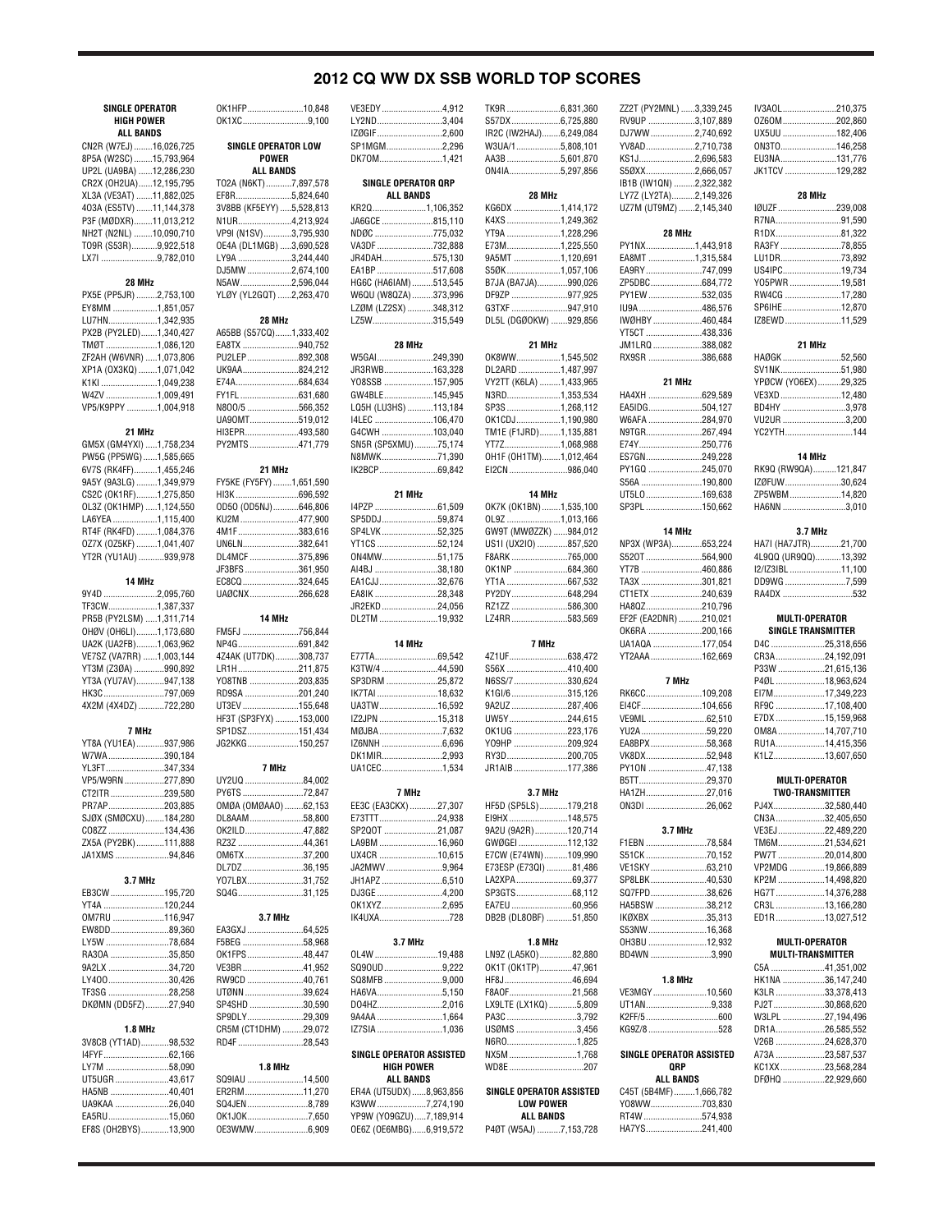### **2012 CQ WW DX SSB WORLD TOP SCORES**

| <b>SINGLE OPERATOR</b>                            |  | OK1HFP10,848                               |  |
|---------------------------------------------------|--|--------------------------------------------|--|
| <b>HIGH POWER</b>                                 |  | OK1XC9,100                                 |  |
| <b>ALL BANDS</b>                                  |  |                                            |  |
| CN2R (W7EJ)16,026,725                             |  | <b>SINGLE OPERATOR LOW</b><br><b>POWER</b> |  |
| 8P5A (W2SC) 15,793,964<br>UP2L (UA9BA) 12,286,230 |  | <b>ALL BANDS</b>                           |  |
| CR2X (OH2UA)12,195,795                            |  | TO2A (N6KT)7,897,578                       |  |
| XL3A (VE3AT) 11,882,025                           |  | EF8R5,824,640                              |  |
| 403A (ES5TV) 11,144,378                           |  | 3V8BB (KF5EYY) 5,528,813                   |  |
| P3F (MØDXR)11,013,212                             |  | N1UR4,213,924                              |  |
| NH2T (N2NL) 10,090,710                            |  | VP9I (N1SV)3,795,930                       |  |
| T09R (S53R)9,922,518                              |  | OE4A (DL1MGB) 3,690,528                    |  |
| LX7I 9,782,010                                    |  | LY9A 3,244,440                             |  |
| 28 MHz                                            |  | DJ5MW 2,674,100<br>N5AW2,596,044           |  |
| PX5E (PP5JR) 2,753,100                            |  | YLØY (YL2GQT) 2,263,470                    |  |
| EY8MM 1,851,057                                   |  |                                            |  |
| LU7HN1,342,935                                    |  | 28 MHz                                     |  |
| PX2B (PY2LED)1,340,427                            |  | A65BB (S57CQ)1,333,402                     |  |
| TMØT 1,086,120                                    |  | EA8TX 940,752                              |  |
| ZF2AH (W6VNR) 1,073,806                           |  | PU2LEP892,308                              |  |
| XP1A (0X3KQ) 1,071,042                            |  | UK9AA824,212                               |  |
| K1KI 1,049,238                                    |  | E74A684,634                                |  |
| W4ZV 1,009,491<br>VP5/K9PPY 1,004,918             |  | FY1FL631,680<br>N800/5 566,352             |  |
|                                                   |  | UA90MT519,012                              |  |
| 21 MHz                                            |  | HI3EPR493,580                              |  |
| GM5X (GM4YXI) 1,758,234                           |  | PY2MTS471,779                              |  |
| PW5G (PP5WG)1,585,665                             |  |                                            |  |
| 6V7S (RK4FF)1,455,246                             |  | 21 MHz                                     |  |
| 9A5Y (9A3LG) 1,349,979                            |  | FY5KE (FY5FY) 1,651,590                    |  |
| CS2C (OK1RF)1,275,850                             |  | HI3K696,592                                |  |
| OL3Z (OK1HMP) 1,124,550                           |  | OD50 (OD5NJ)646,806                        |  |
| LA6YEA 1,115,400                                  |  | KU2M477,900                                |  |
| RT4F (RK4FD) 1,084,376<br>0Z7X (0Z5KF) 1,041,407  |  | 4M1F383,616<br>UN6LN382,641                |  |
| YT2R (YU1AU) 939,978                              |  | DL4MCF 375,896                             |  |
|                                                   |  | JF3BFS361,950                              |  |
| 14 MHz                                            |  | EC8CQ 324,645                              |  |
| 9Y4D 2,095,760                                    |  | UAØCNX266,628                              |  |
| TF3CW1,387,337                                    |  |                                            |  |
| PR5B (PY2LSM) 1,311,714                           |  | 14 MHz                                     |  |
| OHØV (OH6LI)1,173,680                             |  | FM5FJ 756,844                              |  |
| UA2K (UA2FB)1,063,962                             |  | NP4G691,842                                |  |
| VE7SZ (VA7RR) 1,003,144<br>YT3M (Z3ØA) 990,892    |  | 4Z4AK (UT7DK)308,737<br>LR1H211,875        |  |
| YT3A (YU7AV)947,138                               |  | YO8TNB 203,835                             |  |
| HK3C797,069                                       |  | RD9SA 201,240                              |  |
| 4X2M (4X4DZ) 722,280                              |  | UT3EV 155,648                              |  |
|                                                   |  | HF3T (SP3FYX) 153,000                      |  |
| 7 MHz                                             |  | SP1DSZ151,434                              |  |
| YT8A (YU1EA)937,986                               |  | JG2KKG150,257                              |  |
| W7WA390,184                                       |  |                                            |  |
| YL3FT347,334                                      |  | 7 MHz<br>UY2UQ 84,002                      |  |
| VP5/W9RN 277,890<br>CT2ITR 239,580                |  | PY6TS 72,847                               |  |
| PR7AP203,885                                      |  | OMØA (OMØAAO) 62,153                       |  |
| SJØX (SMØCXU)184,280                              |  | DL8AAM58,800                               |  |
| CO8ZZ 134,436                                     |  | OK2ILD47,882                               |  |
| ZX5A (PY2BK)111,888                               |  | RZ3Z 44,361                                |  |
| JA1XMS 94,846                                     |  | OM6TX 37,200                               |  |
|                                                   |  | DL7DZ36,195                                |  |
| 3.7 MHz                                           |  | Y07LBX31,752                               |  |
| EB3CW 195,720                                     |  | SQ4G31,125                                 |  |
| YT4A 120,244<br>OM7RU 116,947                     |  | 3.7 MHz                                    |  |
| EW8DD89,360                                       |  | EA3GXJ 64,525                              |  |
| LY5W 78,684                                       |  | F5BEG 58,968                               |  |
| RA30A 35,850                                      |  | OK1FPS48,447                               |  |
| 9A2LX 34,720                                      |  | VE3BR41,952                                |  |
| LY40030,426                                       |  | RW9CD 40,761                               |  |
| TF3SG 28,258                                      |  | UTØNN 39,624                               |  |
| DKØMN (DD5FZ)27,940                               |  | SP4SHD 30,590                              |  |
|                                                   |  | SP9DLY29,309                               |  |
| 1.8 MHz                                           |  | CR5M (CT1DHM) 29,072                       |  |
| 3V8CB (YT1AD)98,532                               |  | RD4F 28,543                                |  |
| LY7M 58,090                                       |  | 1.8 MHz                                    |  |
| UT5UGR43,617                                      |  | SQ9IAU 14,500                              |  |
| HA5NB 40,401                                      |  | ER2RM11,270                                |  |
| UA9KAA 26,040                                     |  | SQ4JEN 8,789                               |  |
| EA5RU15,060                                       |  | OK1JOK7,650                                |  |
| EF8S (OH2BYS)13,900                               |  | 0E3WMW6,909                                |  |

| .10,848                                 | VE3EDY 4,912                                     |  |
|-----------------------------------------|--------------------------------------------------|--|
| , 9,100                                 | LY2ND3,404                                       |  |
|                                         | IZØGIF 2,600                                     |  |
| LOW                                     | SP1MGM2,296                                      |  |
|                                         | DK70M1,421                                       |  |
|                                         |                                                  |  |
| 897,578                                 | SINGLE OPERATOR QRP                              |  |
| 824,640                                 | <b>ALL BANDS</b>                                 |  |
| 528,813                                 | KR2Q1,106,352                                    |  |
| 213,924                                 | JA6GCE 815,110                                   |  |
| 795,930                                 | NDØC 775,032                                     |  |
| 690,528                                 | VA3DF 732,888                                    |  |
| 244,440                                 | JR4DAH575,130                                    |  |
| 674.100                                 | EA1BP 517,608                                    |  |
| 596,044                                 | HG6C (HA6IAM) 513,545                            |  |
| 263,470                                 | W6QU (W8QZA) 373,996                             |  |
|                                         | LZØM (LZ2SX) 348,312                             |  |
|                                         | LZ5W315,549                                      |  |
| 333,402                                 |                                                  |  |
| 940,752                                 | 28 MHz                                           |  |
| 892,308                                 | W5GAI249,390                                     |  |
| 824,212                                 | JR3RWB163,328                                    |  |
| 684,634                                 | YO8SSB 157,905                                   |  |
| 631,680                                 | GW4BLE145,945                                    |  |
| 566,352                                 | LQ5H (LU3HS) 113,184                             |  |
| 519,012                                 | I4LEC 106,470                                    |  |
| 493.580                                 | G4CWH 103,040                                    |  |
| 471,779                                 | SN5R (SP5XMU)75,174                              |  |
|                                         | N8MWK71,390                                      |  |
|                                         | IK2BCP69,842                                     |  |
| 651,590                                 |                                                  |  |
| 696,592                                 | 21 MHz                                           |  |
| 646,806                                 | I4PZP 61,509                                     |  |
| 477,900                                 | SP5DDJ59,874                                     |  |
| 383,616                                 | SP4LVK52,325                                     |  |
| 382.641                                 | YT1CS 52,124                                     |  |
| 375,896                                 | 0N4MW51,175                                      |  |
| 361,950                                 | AI4BJ 38,180                                     |  |
| 324,645                                 | EA1CJJ32,676                                     |  |
| 266,628                                 | EA8IK 28,348                                     |  |
|                                         | JR2EKD 24,056                                    |  |
|                                         | DL2TM 19,932                                     |  |
| 756,844                                 |                                                  |  |
| 691,842                                 | 14 MHz                                           |  |
| 308,737                                 |                                                  |  |
| 211,875                                 | K3TW/4 44,590                                    |  |
| 203,835                                 | SP3DRM 25,872                                    |  |
| 201,240                                 | IK7TAI 18,632                                    |  |
| 155,648                                 | UA3TW16,592                                      |  |
| 153,000                                 | IZ2JPN 15,318                                    |  |
| 151,434                                 | MØJBA 7,632                                      |  |
| 150,257                                 | IZ6NNH 6,696                                     |  |
|                                         | DK1MIR2,993                                      |  |
|                                         | UA1CEC1,534                                      |  |
| .84,002                                 |                                                  |  |
| .72,847                                 | 7 <sup>1</sup>                                   |  |
| 62,153                                  | EE3C (EA3CKX) 27,307                             |  |
| .58,800                                 | E73TTT24,938                                     |  |
| .47,882                                 | SP2Q0T 21,087                                    |  |
| .44,361                                 | LA9BM 16,960                                     |  |
| .37,200                                 | UX4CR 10,615                                     |  |
| .36,195                                 | JA2MWV 9,964                                     |  |
| .31,752                                 | JH1APZ 6,510                                     |  |
| .31,125                                 | DJ3GE 4,200                                      |  |
|                                         | 0K1XYZ2,695                                      |  |
|                                         | IK4UXA728                                        |  |
| .64,525                                 |                                                  |  |
| .58,968                                 | 3.7 MHz                                          |  |
| .48,447                                 | OL4W 19,488                                      |  |
| .41,952                                 | SQ90UD9,222                                      |  |
| .40,761                                 | SQ8MFB9,000                                      |  |
| .39,624                                 | HA6VA5,150                                       |  |
| .30,590                                 |                                                  |  |
| .29,309                                 |                                                  |  |
|                                         | DO4HZ2,016                                       |  |
|                                         | 9A4AA 1,664                                      |  |
|                                         | IZ7SIA 1,036                                     |  |
|                                         |                                                  |  |
|                                         | SINGLE OPERATOR ASSISTED                         |  |
|                                         | <b>HIGH POWER</b>                                |  |
|                                         | <b>ALL BANDS</b>                                 |  |
| .29,072<br>.28,543<br>14,500<br>.11,270 | ER4A (UT5UDX) 8,963,856                          |  |
|                                         | K3WW7,274,190                                    |  |
| 8,789<br>7,650<br>6,909                 | YP9W (Y09GZU)7,189,914<br>OE6Z (OE6MBG)6,919,572 |  |

| 4,912                            | TK9R6,831,360                             |  |
|----------------------------------|-------------------------------------------|--|
| 3,404                            | S57DX6,725,880                            |  |
| 2,600                            | IR2C (IW2HAJ)6,249,084                    |  |
| 2,296                            | W3UA/15,808,101                           |  |
| 1,421                            | AA3B 5,601,870                            |  |
|                                  | 0N4IA5,297,856                            |  |
| RP                               |                                           |  |
|                                  | 28 MHz                                    |  |
| 6,352                            | KG6DX 1,414,172                           |  |
| 5,110                            | K4XS 1,249,362                            |  |
| 5,032                            | YT9A 1,228,296                            |  |
| 2,888                            | E73M1,225,550                             |  |
| 5,130                            | 9A5MT 1,120,691                           |  |
|                                  |                                           |  |
| 7,608                            | S5ØK1,057,106                             |  |
| 3,545                            | B7JA (BA7JA)990,026                       |  |
| 3,996                            | DF9ZP 977,925                             |  |
| 8,312                            | G3TXF 947,910                             |  |
| 5,549                            | DL5L (DGØ0KW) 929,856                     |  |
|                                  |                                           |  |
|                                  | 21 MHz                                    |  |
| 9,390                            | OK8WW1,545,502                            |  |
| 3,328                            | DL2ARD 1,487,997                          |  |
| 7,905                            | VY2TT (K6LA) 1,433,965                    |  |
| 5,945                            | N3RD1,353,534                             |  |
| 3.184                            | SP3S 1,268,112                            |  |
| 6,470                            | OK1CDJ1,190,980                           |  |
| 3,040                            | TM1E (F1JRD)1,135,881                     |  |
| 5,174                            | YT7Z1,068,988                             |  |
|                                  |                                           |  |
| 1,390<br>9,842                   | OH1F (OH1TM)1,012,464<br>EI2CN 986,040    |  |
|                                  |                                           |  |
|                                  | 14 MHz                                    |  |
| 1,509                            | OK7K (OK1BN) 1,535,100                    |  |
|                                  |                                           |  |
| 9,874                            | OL9Z 1,013,166                            |  |
| 2.325                            | GW9T (MWØZZK) 984,012                     |  |
| 2,124                            | US1I (UX2I0) 857,520                      |  |
| 1,175                            | F8ARK 765,000                             |  |
| 8,180                            | OK1NP 684,360                             |  |
| 2,676                            | YT1A 667,532                              |  |
| 8,348                            | PY2DY648,294                              |  |
| 4,056                            | RZ1ZZ 586,300                             |  |
| 9,932                            | LZ4RR583,569                              |  |
|                                  |                                           |  |
|                                  |                                           |  |
|                                  | 7 MHz                                     |  |
|                                  | 4Z1UF638,472                              |  |
| 9,542                            |                                           |  |
| 4,590                            | S56X 410,400                              |  |
| 5,872                            | N6SS/7330,624                             |  |
| 8,632                            | K1GI/6315,126                             |  |
| 6,592                            | 9A2UZ 287,406                             |  |
| 5.318                            | UW5Y244,615                               |  |
| 7,632                            | OK1UG 223,176                             |  |
| 6,696                            | Y09HP 209,924                             |  |
| 2,993                            | RY3D200,705                               |  |
| 1,534                            | JR1AIB177,386                             |  |
|                                  |                                           |  |
|                                  | 3.7 MHz                                   |  |
| 7,307                            | HF5D (SP5LS)179,218                       |  |
| 4,938                            | EI9HX 148,575                             |  |
| 1,087                            | 9A2U (9A2R)120,714                        |  |
| 6,960                            | GWØGEI 112,132                            |  |
| 0,615                            | E7CW (E74WN)109,990                       |  |
| 9,964                            | E73ESP (E73QI) 81,486                     |  |
| 6,510                            | LA2XPA69,377                              |  |
| 4,200                            | SP3GTS68,112                              |  |
|                                  |                                           |  |
| 2,695<br>728                     | EA7EU 60,956<br>DB2B (DL8OBF) 51,850      |  |
|                                  |                                           |  |
|                                  | 1.8 MHz                                   |  |
|                                  | LN9Z (LA5KO)82,880                        |  |
|                                  | OK1T (OK1TP)47,961                        |  |
| 9,488<br>9,222<br>9,000          | HF8J46,694                                |  |
| 5,150                            | F8A0F21,568                               |  |
|                                  |                                           |  |
|                                  | LX9LTE (LX1KQ) 5,809                      |  |
|                                  | PA3C 3,792                                |  |
|                                  | USØMS 3,456                               |  |
|                                  | N6R01,825                                 |  |
| 2,016<br>1,664<br>1,036<br>ISTED | NX5M 1,768                                |  |
|                                  | WD8E 207                                  |  |
|                                  |                                           |  |
| 3,856                            | SINGLE OPERATOR ASSISTED                  |  |
| 4,190                            | <b>LOW POWER</b>                          |  |
| 9,914<br>9,572                   | <b>ALL BANDS</b><br>P4ØT (W5AJ) 7,153,728 |  |

| 6,725,880                                                                                                                                                                                                                                                                                                                                          | RV9UP 3,107,889          |  |
|----------------------------------------------------------------------------------------------------------------------------------------------------------------------------------------------------------------------------------------------------------------------------------------------------------------------------------------------------|--------------------------|--|
| 2HAJ)6,249,084                                                                                                                                                                                                                                                                                                                                     | DJ7WW2,740,692           |  |
| 5,808,101                                                                                                                                                                                                                                                                                                                                          | YV8AD2,710,738           |  |
| 5,601,870                                                                                                                                                                                                                                                                                                                                          | KS1J2,696,583            |  |
|                                                                                                                                                                                                                                                                                                                                                    |                          |  |
| 5,297,856                                                                                                                                                                                                                                                                                                                                          | S50XX2,666,057           |  |
|                                                                                                                                                                                                                                                                                                                                                    | IB1B (IW1QN) 2,322,382   |  |
| 28 MHz                                                                                                                                                                                                                                                                                                                                             | LY7Z (LY2TA)2,149,326    |  |
| 1,414,172                                                                                                                                                                                                                                                                                                                                          | UZ7M (UT9MZ) 2,145,340   |  |
| 1,249,362                                                                                                                                                                                                                                                                                                                                          |                          |  |
| 1,228,296                                                                                                                                                                                                                                                                                                                                          | 28 MHz                   |  |
|                                                                                                                                                                                                                                                                                                                                                    |                          |  |
| 1,225,550                                                                                                                                                                                                                                                                                                                                          | PY1NX1,443,918           |  |
| 1,120,691                                                                                                                                                                                                                                                                                                                                          | EA8MT 1,315,584          |  |
| 1,057,106                                                                                                                                                                                                                                                                                                                                          | EA9RY 747.099            |  |
| 7JA)990,026                                                                                                                                                                                                                                                                                                                                        | ZP5DBC684,772            |  |
| 977,925                                                                                                                                                                                                                                                                                                                                            | PY1EW 532,035            |  |
| 947,910                                                                                                                                                                                                                                                                                                                                            | IU9A 486,576             |  |
| 00KW) 929,856                                                                                                                                                                                                                                                                                                                                      |                          |  |
|                                                                                                                                                                                                                                                                                                                                                    | IWØHBY 460,484           |  |
|                                                                                                                                                                                                                                                                                                                                                    | YT5CT 438,336            |  |
| 21 MHz                                                                                                                                                                                                                                                                                                                                             | JM1LRQ 388,082           |  |
| 1,545,502                                                                                                                                                                                                                                                                                                                                          | RX9SR 386,688            |  |
| 1,487,997                                                                                                                                                                                                                                                                                                                                          |                          |  |
| .6LA) 1,433,965                                                                                                                                                                                                                                                                                                                                    | 21 MHz                   |  |
| 1,353,534                                                                                                                                                                                                                                                                                                                                          | HA4XH 629,589            |  |
|                                                                                                                                                                                                                                                                                                                                                    |                          |  |
| 1,268,112                                                                                                                                                                                                                                                                                                                                          | EA5IDG504,127            |  |
| 1,190,980                                                                                                                                                                                                                                                                                                                                          | W6AFA 284,970            |  |
| JRD)1,135,881                                                                                                                                                                                                                                                                                                                                      | N9TGR267,494             |  |
| 1,068,988                                                                                                                                                                                                                                                                                                                                          | E74Y250,776              |  |
| 11TM)1,012,464                                                                                                                                                                                                                                                                                                                                     | ES7GN249,228             |  |
| 986,040                                                                                                                                                                                                                                                                                                                                            | PY1GQ 245,070            |  |
|                                                                                                                                                                                                                                                                                                                                                    |                          |  |
|                                                                                                                                                                                                                                                                                                                                                    | S56A 190,800             |  |
| 14 MHz                                                                                                                                                                                                                                                                                                                                             | UT5L0169,638             |  |
| (1BN)1,535,100                                                                                                                                                                                                                                                                                                                                     | SP3PL 150,662            |  |
| 1,013,166                                                                                                                                                                                                                                                                                                                                          |                          |  |
| IWØZZK) 984,012                                                                                                                                                                                                                                                                                                                                    | 14 MHz                   |  |
| .210) 857,520                                                                                                                                                                                                                                                                                                                                      | NP3X (WP3A)653,224       |  |
| 765,000                                                                                                                                                                                                                                                                                                                                            | S520T 564,900            |  |
|                                                                                                                                                                                                                                                                                                                                                    |                          |  |
| 684,360                                                                                                                                                                                                                                                                                                                                            | YT7B 460,886             |  |
| 667,532                                                                                                                                                                                                                                                                                                                                            | TA3X 301,821             |  |
|                                                                                                                                                                                                                                                                                                                                                    | CT1ETX 240,639           |  |
| 586,300                                                                                                                                                                                                                                                                                                                                            | HA8QZ210,796             |  |
| 583,569                                                                                                                                                                                                                                                                                                                                            | EF2F (EA2DNR) 210,021    |  |
|                                                                                                                                                                                                                                                                                                                                                    |                          |  |
|                                                                                                                                                                                                                                                                                                                                                    |                          |  |
|                                                                                                                                                                                                                                                                                                                                                    | OK6RA 200,166            |  |
| 7 MHz                                                                                                                                                                                                                                                                                                                                              | UA1AQA 177,054           |  |
|                                                                                                                                                                                                                                                                                                                                                    | YT2AAA162,669            |  |
|                                                                                                                                                                                                                                                                                                                                                    |                          |  |
|                                                                                                                                                                                                                                                                                                                                                    | 7 MHz                    |  |
|                                                                                                                                                                                                                                                                                                                                                    | RK6CC109,208             |  |
|                                                                                                                                                                                                                                                                                                                                                    |                          |  |
|                                                                                                                                                                                                                                                                                                                                                    | EI4CF104,656             |  |
|                                                                                                                                                                                                                                                                                                                                                    | VE9ML 62,510             |  |
|                                                                                                                                                                                                                                                                                                                                                    | YU2A59,220               |  |
|                                                                                                                                                                                                                                                                                                                                                    | EA8BPX58,368             |  |
|                                                                                                                                                                                                                                                                                                                                                    | VK8DX52,948              |  |
|                                                                                                                                                                                                                                                                                                                                                    |                          |  |
|                                                                                                                                                                                                                                                                                                                                                    | PY10N 47,138             |  |
|                                                                                                                                                                                                                                                                                                                                                    | B5TT29,370               |  |
| 3.7 MHz                                                                                                                                                                                                                                                                                                                                            | HA1ZH27,016              |  |
|                                                                                                                                                                                                                                                                                                                                                    | ON3DI 26,062             |  |
|                                                                                                                                                                                                                                                                                                                                                    |                          |  |
|                                                                                                                                                                                                                                                                                                                                                    | 3.7 MHz                  |  |
|                                                                                                                                                                                                                                                                                                                                                    | F1EBN 78,584             |  |
|                                                                                                                                                                                                                                                                                                                                                    | S51CK 70,152             |  |
|                                                                                                                                                                                                                                                                                                                                                    |                          |  |
|                                                                                                                                                                                                                                                                                                                                                    | VE1SKY63,210             |  |
|                                                                                                                                                                                                                                                                                                                                                    | SP8LBK40,530             |  |
|                                                                                                                                                                                                                                                                                                                                                    | SQ7FPD38,626             |  |
|                                                                                                                                                                                                                                                                                                                                                    | HA5BSW 38,212            |  |
|                                                                                                                                                                                                                                                                                                                                                    | IKØXBX 35,313            |  |
|                                                                                                                                                                                                                                                                                                                                                    | S53NW16,368              |  |
|                                                                                                                                                                                                                                                                                                                                                    |                          |  |
| 1.8 MHz                                                                                                                                                                                                                                                                                                                                            | OH3BU 12,932             |  |
|                                                                                                                                                                                                                                                                                                                                                    | BD4WN 3,990              |  |
|                                                                                                                                                                                                                                                                                                                                                    |                          |  |
|                                                                                                                                                                                                                                                                                                                                                    | 1.8 MHz                  |  |
|                                                                                                                                                                                                                                                                                                                                                    | VE3MGY10,560             |  |
|                                                                                                                                                                                                                                                                                                                                                    | UT1AN9,338               |  |
|                                                                                                                                                                                                                                                                                                                                                    |                          |  |
|                                                                                                                                                                                                                                                                                                                                                    |                          |  |
|                                                                                                                                                                                                                                                                                                                                                    | KG9Z/8 528               |  |
|                                                                                                                                                                                                                                                                                                                                                    |                          |  |
|                                                                                                                                                                                                                                                                                                                                                    | SINGLE OPERATOR ASSISTED |  |
|                                                                                                                                                                                                                                                                                                                                                    | 0RP                      |  |
| 638,472<br>410,400<br>330,624<br>315,126<br>287,406<br>244,615<br>223,176<br>209,924<br>200,705<br>177,386<br><sup>9</sup> 5LS)179,218<br>148,575<br>2R)120,714<br>112,132<br>74WN)109,990<br>E73QI) 81,486<br>60,956<br>.80BF) 51,850<br>5KO)82,880<br>(1TP)47,961<br>46,694<br>21,568<br>LX1KQ) 5,809<br>3,792<br>3,456<br>1,825<br>1,768<br>207 | ALL BANDS                |  |
| <b>DPERATOR ASSISTED</b>                                                                                                                                                                                                                                                                                                                           | C45T (5B4MF)1,666,782    |  |
| LOW POWER                                                                                                                                                                                                                                                                                                                                          | Y08WW703,830             |  |
| <b>ALL BANDS</b>                                                                                                                                                                                                                                                                                                                                   | RT4W 574,938             |  |
| 5AJ) 7,153,728                                                                                                                                                                                                                                                                                                                                     | HA7YS241,400             |  |

ZZ2T (PY2MNL) ......3,339,245

| IV3AOL210,375             |
|---------------------------|
| 0Z60M202,860              |
| UX5UU 182,406             |
| 0N3T0146,258              |
| EU3NA131,776              |
| JK1TCV 129,282            |
|                           |
| 28 MHz                    |
| IØUZF 239,008             |
| R7NA91,590                |
| R1DX81,322                |
| RA3FY 78,855              |
| LU1DR73,892               |
| US4IPC19,734              |
| Y05PWR 19,581             |
| RW4CG 17,280              |
| SP6IHE12,870              |
| IZ8EWD11,529              |
|                           |
| 21 MHz                    |
| HAØGK 52,560              |
| SV1NK51,980               |
| YPØCW (YO6EX)29,325       |
| VE3XD 12,480              |
| BD4HY 3,978               |
| VU2UR 3,200               |
| YC2YTH144                 |
|                           |
| 14 MHz                    |
| RK9Q (RW9QA)121,847       |
| IZØFUW30,624              |
| ZP5WBM14,820              |
| HA6NN 3,010               |
|                           |
| 3.7 MHz                   |
| HA7I (HA7JTR)21,700       |
| 4L9QQ (UR9QQ)13,392       |
| I2/IZ3IBL 11,100          |
| DD9WG 7,599               |
| RA4DX 532                 |
| MULTI-OPERATOR            |
| <b>SINGLE TRANSMITTER</b> |
| D4C 25,318,656            |
| CR3A24,192,091            |
| P33W 21,615,136           |
| P4ØL 18,963,624           |
| EI7M17,349,223            |
| RF9C 17,108,400           |
| E7DX 15,159,968           |
| 0M8A 14,707,710           |
| RU1A14,415,356            |
| K1LZ13,607,650            |
|                           |
| <b>MULTI-OPERATOR</b>     |
| <b>TWO-TRANSMITTER</b>    |
|                           |

| <b>TWO-TRANSMITTER</b> |                   |  |
|------------------------|-------------------|--|
|                        | PJ4X32,580,440    |  |
|                        | CN3A32,405,650    |  |
|                        | VE3EJ22.489.220   |  |
|                        | TM6M21.534.621    |  |
|                        | PW7T 20.014.800   |  |
|                        | VP2MDG 19.866.889 |  |
|                        | KP2M 14.498.820   |  |
|                        | HG7T14,376,288    |  |
|                        | CR3L 13.166.280   |  |
|                        | ED1R13,027.512    |  |
|                        |                   |  |

### **MULTI-OPERATOR MULTI-TRANSMITTER**

| C5A 41.351.002   |
|------------------|
| HK1NA 36,147.240 |
| K3LR 33,378.413  |
| PJ2T30,868,620   |
| W3LPL 27,194.496 |
| DR1A26,585,552   |
| V26B 24,628,370  |
| A73A 23.587.537  |
| KC1XX23,568,284  |
| DFØHQ 22,929,660 |
|                  |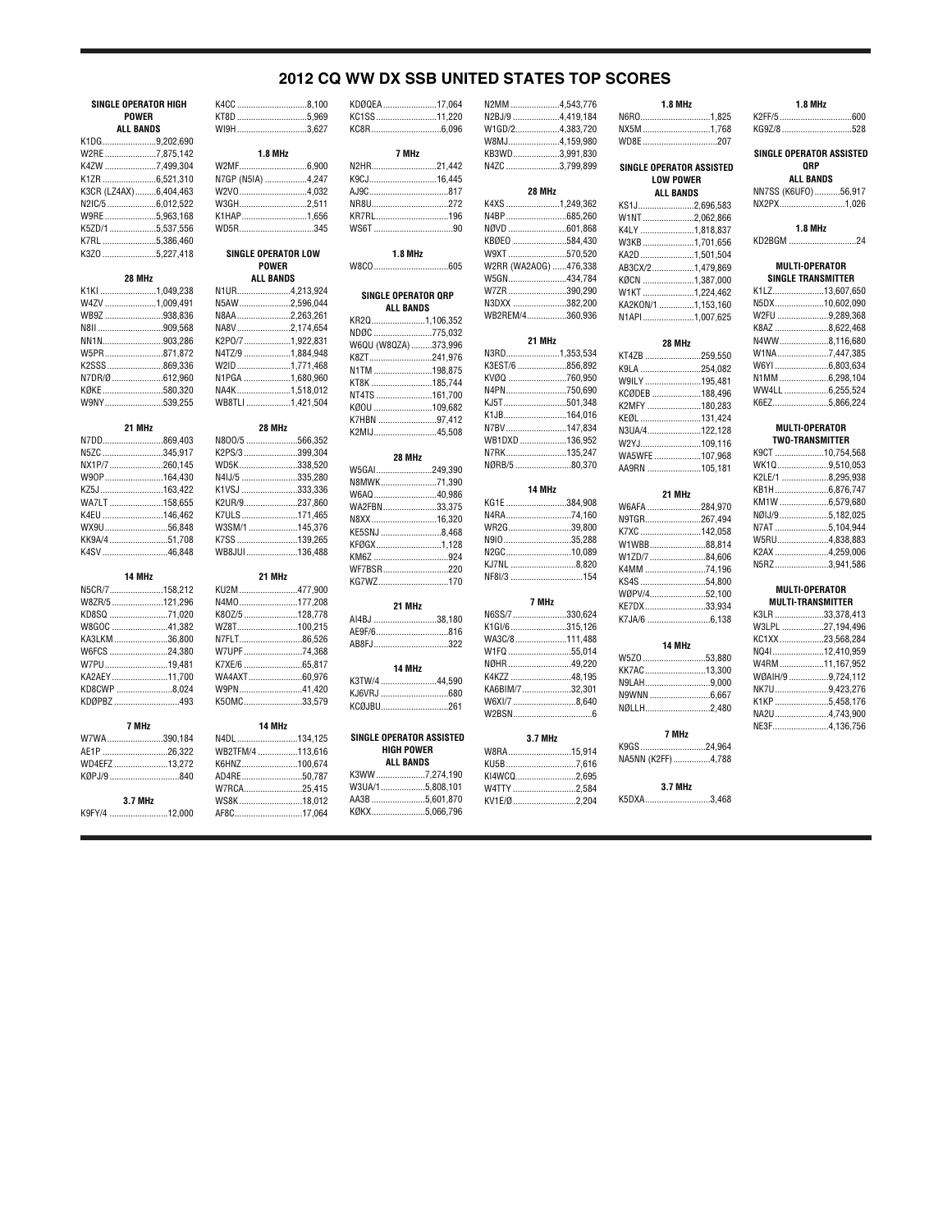# **2012 CQ WW DX SSB UNITED STATES TOP SCORES**

| SINGLE OPERATOR HIGH  | K4CC 8,100                 |  |
|-----------------------|----------------------------|--|
| <b>POWER</b>          | KT8D 5,969                 |  |
| <b>ALL BANDS</b>      | WI9H3.627                  |  |
| K1DG9,202,690         |                            |  |
| W2RE7,875,142         | 1.8 MHz                    |  |
| K4ZW 7,499,304        |                            |  |
|                       | N7GP (N5IA) 4,247          |  |
| K3CR (LZ4AX)6,404,463 | W2V04,032                  |  |
| N2IC/56,012,522       | W3GH2,511                  |  |
| W9RE5,963,168         | K1HAP1,656                 |  |
| K5ZD/1 5,537,556      | WD5R345                    |  |
| K7RL 5,386,460        |                            |  |
| K3Z0 5,227,418        | <b>SINGLE OPERATOR LOW</b> |  |
|                       | <b>POWER</b>               |  |
| 28 MHz                | <b>ALL BANDS</b>           |  |
| K1KI 1,049,238        | N1UR4.213.924              |  |
| W4ZV 1,009,491        | N5AW2,596,044              |  |
| WB9Z 938,836          | N8AA2,263,261              |  |
| N8II 909,568          | NA8V2,174,654              |  |
| NN1N903,286           | K2P0/7 1,922,831           |  |
| W5PR871,872           | N4TZ/9 1,884,948           |  |
| K2SSS869,336          | W2ID1,771,468              |  |
|                       |                            |  |
| N7DR/Ø612,960         | N1PGA 1,680,960            |  |
| KØKE580,320           | NA4K1,518,012              |  |
| W9NY539,255           | WB8TLI 1,421,504           |  |
| 21 MHz                | 28 MHz                     |  |
| N7DD869,403           | N800/5 566,352             |  |
| N5ZC 345,917          | K2PS/3 399,304             |  |
| NX1P/7 260,145        | WD5K338,520                |  |
| W90P164.430           | N4IJ/5 335.280             |  |
| KZ5J163,422           | K1VSJ 333,336              |  |
| WA7LT 158,655         | K2UR/9237,860              |  |
| K4EU 146,462          | K7ULS171,465               |  |
| WX9U56,848            | W3SM/1 145,376             |  |
| KK9A/4 51,708         | K7SS 139,265               |  |
| K4SV 46,848           | WB8JUI 136,488             |  |
|                       |                            |  |
| 14 MHz                | 21 MHz                     |  |
| N5CR/7158,212         | KU2M 477,900               |  |
| W8ZR/5121,296         | N4M0177,208                |  |
| KD8SQ 71,020          | K80Z/5 128.778             |  |
| W8GOC 41,382          | WZ8T100,215                |  |
| KA3LKM36,800          | N7FLT86,526                |  |
| W6FCS 24,380          | W7UPF 74,368               |  |
| W7PU19,481            |                            |  |
| KA2AEY11,700          | WA4AXT60,976               |  |
| KD8CWP 8,024          | W9PN41,420                 |  |
| KDØPBZ 493            | K50MC33,579                |  |
| 7 MHz                 | 14 MHz                     |  |
| W7WA390,184           | N4DL 134,125               |  |
| AE1P 26,322           | WB2TFM/4 113,616           |  |
| WD4EFZ 13,272         | K6HNZ100,674               |  |
| KØPJ/9840             |                            |  |
|                       | AD4RE50,787                |  |
|                       | W7RCA25,415                |  |
| 3.7 MHz               | WS8K 18,012                |  |

**3.7 MHz** K9FY/4 .........................12,000 WS8K ...........................18,012

 $.17,064$ 

| KDØQEA 17,064                         |  |
|---------------------------------------|--|
| KC1SS11,220                           |  |
|                                       |  |
|                                       |  |
| 7 MHz                                 |  |
| N2HR21,442                            |  |
| K9CJ16,445                            |  |
|                                       |  |
| NR8U272                               |  |
| KR7RL196                              |  |
|                                       |  |
| <b>1.8 MHz</b>                        |  |
|                                       |  |
| SINGLE OPERATOR ORP                   |  |
| <b>ALL BANDS</b>                      |  |
| KR2Q1,106,352                         |  |
| NDØC 775,032                          |  |
| W6QU (W8QZA) 373,996                  |  |
| K8ZT241,976                           |  |
| N1TM 198,875                          |  |
| KT8K 185,744                          |  |
| NT4TS 161,700                         |  |
| KØOU 109,682                          |  |
| K7HBN 97,412                          |  |
| K2MIJ45,508                           |  |
| 28 MHz                                |  |
| W5GAI249,390                          |  |
| N8MWK71,390                           |  |
| W6AQ40,986                            |  |
| WA2FBN33,375                          |  |
| N8XX16,320                            |  |
| KE5SNJ 8,468                          |  |
| KFØGX1,128                            |  |
|                                       |  |
| WF7BSR220                             |  |
| KG7WZ170                              |  |
|                                       |  |
| 21 MHz                                |  |
| AI4BJ 38,180                          |  |
| AE9F/6816                             |  |
| AB8FJ322                              |  |
| 14 MHz                                |  |
| K3TW/4 44,590                         |  |
| KJ6VRJ 680                            |  |
| KCØJBU261                             |  |
|                                       |  |
| SINGLE OPERATOR ASSISTED              |  |
| <b>HIGH POWER</b><br><b>ALL BANDS</b> |  |
| K3WW7,274,190                         |  |
| W3UA/15,808,101                       |  |
|                                       |  |

AA3B .......................5,601,870<br>KØKX .......................5,066,796

 $...5,066,796$ 

| 220 | N2BJ/9 4,419,184      |  |
|-----|-----------------------|--|
| )96 | W1GD/24,383,720       |  |
|     | W8MJ4,159,980         |  |
|     | KB3WD3,991,830        |  |
| 142 | N4ZC 3,799,899        |  |
| 145 |                       |  |
| 317 | 28 MHz                |  |
| 272 | K4XS 1,249,362        |  |
| 196 | N4BP685,260           |  |
| .90 | NØVD 601,868          |  |
|     | KBØEO 584,430         |  |
|     | W9XT 570,520          |  |
| 605 | W2RR (WA2AOG) 476,338 |  |
|     | W5GN434,784           |  |
| s   | W7ZR 390,290          |  |
|     | N3DXX 382,200         |  |
|     | WB2REM/4360,936       |  |
| 352 |                       |  |
| )32 | 21 MHz                |  |
| 996 | N3RD1,353,534         |  |
| 976 | K3EST/6 856,892       |  |
| 375 | KVØQ 760,950          |  |
| 744 | N4PN750,690           |  |
| 700 | KJ5T501,348           |  |
| 582 | K1JB164,016           |  |
| 112 | N7BV147,834           |  |
| 508 | WB1DXD 136,952        |  |
|     | N7RK135,247           |  |
|     | NØRB/5 80,370         |  |
| 390 |                       |  |
| 390 | 14 MHz                |  |
| 386 | KG1E 384,908          |  |
| 375 |                       |  |
| 320 | N4RA74,160            |  |
| 168 | WR2G39,800            |  |
| 128 | N91035,288            |  |
| 324 | N2GC10,089            |  |
| 20  | KJ7NL 8,820           |  |
| 170 | NF8I/3 154            |  |
|     | 7 MHz                 |  |
|     |                       |  |
| 180 | N6SS/7330,624         |  |
| 316 | K1GI/6315,126         |  |
| 322 | WA3C/8111,488         |  |
|     | W1FQ 55,014           |  |
|     | NØHR49,220            |  |
| 590 | K4KZZ 48,195          |  |
| 680 | KA6BIM/732,301        |  |
| 261 | W6XI/7 8,640          |  |
|     |                       |  |
|     |                       |  |
| TED | 3.7 MHz               |  |
|     | W8RA15,914            |  |
|     | KU5B7,616             |  |
| 190 | KI4WCQ2,695           |  |
| 101 | W4TTY 2,584           |  |

| N2MM 4,543,776        | <b>1.8 MHz</b>                  |  |
|-----------------------|---------------------------------|--|
| N2BJ/9 4,419,184      | N6R01,825                       |  |
| W1GD/24,383,720       | NX5M1,768                       |  |
| W8MJ4,159,980         | WD8E 207                        |  |
| KB3WD3,991,830        |                                 |  |
| N4ZC 3,799,899        | <b>SINGLE OPERATOR ASSISTED</b> |  |
|                       | <b>LOW POWER</b>                |  |
| <b>28 MHz</b>         |                                 |  |
|                       | <b>ALL BANDS</b>                |  |
| K4XS 1,249,362        | KS1J2,696,583                   |  |
| N4BP685,260           | W1NT2,062,866                   |  |
| NØVD 601,868          | K4LY 1,818,837                  |  |
| KBØE0 584,430         | W3KB1,701,656                   |  |
| W9XT 570,520          | KA2D 1,501,504                  |  |
| W2RR (WA2AOG) 476,338 | AB3CX/21,479,869                |  |
| W5GN434,784           | KØCN 1,387,000                  |  |
| W7ZR 390,290          | W1KT 1,224,462                  |  |
| N3DXX 382,200         |                                 |  |
|                       | KA2KON/1 1,153,160              |  |
| WB2REM/4360,936       | N1API1,007,625                  |  |
|                       |                                 |  |
| 21 MHz                | 28 MHz                          |  |
| N3RD1,353,534         | KT4ZB 259,550                   |  |
| K3EST/6 856,892       | K9LA 254,082                    |  |
| KVØQ 760,950          | W9ILY 195,481                   |  |
| N4PN750,690           | KCØDEB 188,496                  |  |
| KJ5T501,348           |                                 |  |
| K1JB164,016           | K2MFY 180,283                   |  |
| N7BV147,834           | KEØL 131,424                    |  |
|                       | N3UA/4122,128                   |  |
| WB1DXD 136,952        | W2YJ109,116                     |  |
| N7RK135,247           | WA5WFE 107,968                  |  |
| NØRB/5 80,370         | AA9RN 105,181                   |  |
|                       |                                 |  |
|                       |                                 |  |
| 14 MHz                |                                 |  |
| KG1E 384,908          | 21 MHz                          |  |
| N4RA74.160            | W6AFA 284,970                   |  |
|                       | N9TGR267,494                    |  |
| WR2G39,800            | K7XC 142,058                    |  |
| N91035,288            | W1WBB88,814                     |  |
| N2GC10.089            | W1ZD/7 84,606                   |  |
| KJ7NL 8,820           | K4MM 74,196                     |  |
| NF8I/3 154            | KS4S 54,800                     |  |
|                       | WØPV/452,100                    |  |
| 7 MHz                 | KE7DX 33,934                    |  |
| N6SS/7330,624         |                                 |  |
| K1GI/6315,126         |                                 |  |
| WA3C/8111,488         |                                 |  |
| W1FQ 55,014           | 14 MHz                          |  |
|                       | W5Z0 53,880                     |  |
| NØHR49,220            | KK7AC13,300                     |  |
| K4KZZ 48,195          | N9LAH9,000                      |  |
| KA6BIM/732,301        |                                 |  |
| W6XI/7 8,640          | NØLLH2,480                      |  |
|                       |                                 |  |
|                       | 7 MHz                           |  |
| 3.7 MHz               |                                 |  |
| W8RA15,914            | K9GS24,964                      |  |
| KU5B7,616             | NA5NN (K2FF)4,788               |  |
| KI4WCQ2,695           |                                 |  |
| W4TTY 2,584           | <b>3.7 MHz</b><br>K5DXA3,468    |  |

|  | <b>1.8 MHz</b>                              |
|--|---------------------------------------------|
|  |                                             |
|  | KG9Z/8 528                                  |
|  | SINGLE OPERATOR ASSISTED<br>QRP             |
|  | <b>ALL BANDS</b>                            |
|  | NN7SS (K6UFO)56,917                         |
|  | NX2PX1,026                                  |
|  |                                             |
|  | <b>1.8 MHz</b>                              |
|  | KD2BGM 24                                   |
|  |                                             |
|  | MULTI-OPERATOR<br><b>SINGLE TRANSMITTER</b> |
|  | K1LZ13,607,650                              |
|  | N5DX10,602,090                              |
|  | W2FU 9,289,368                              |
|  | K8AZ 8,622,468                              |
|  |                                             |
|  | N4WW8,116,680                               |
|  | W1NA7,447,385                               |
|  | W6YI 6,803,634                              |
|  | N1MM6,298,104                               |
|  | WW4LL6,255,524<br>K6EZ5,866,224             |
|  |                                             |
|  | <b>MULTI-OPERATOR</b>                       |
|  | <b>TWO-TRANSMITTER</b>                      |
|  | K9CT 10.754.568                             |
|  | WK1Q9,510,053                               |
|  | K2LE/1 8,295,938                            |
|  |                                             |
|  | KM1W 6,579,680                              |
|  | NØIJ/95,182,025                             |
|  | N7AT 5,104,944                              |
|  | W5RU4,838,883                               |
|  | K2AX 4,259,006                              |
|  | N5RZ3,941,586                               |
|  | MULTI-OPERATOR                              |
|  | <b>MULTI-TRANSMITTER</b>                    |
|  | K3LR 33,378,413                             |
|  | W3LPL 27,194,496                            |
|  | KC1XX 23568284                              |

| K3LR 33,378,413   |  |
|-------------------|--|
| W3LPL 27,194,496  |  |
| KC1XX 23.568.284  |  |
| NQ4112,410,959    |  |
| W4RM11,167,952    |  |
| WØAIH/9 9.724.112 |  |
| NK7U9,423,276     |  |
| K1KP5,458,176     |  |
| NA2U4.743.900     |  |
| NE3F4.136.756     |  |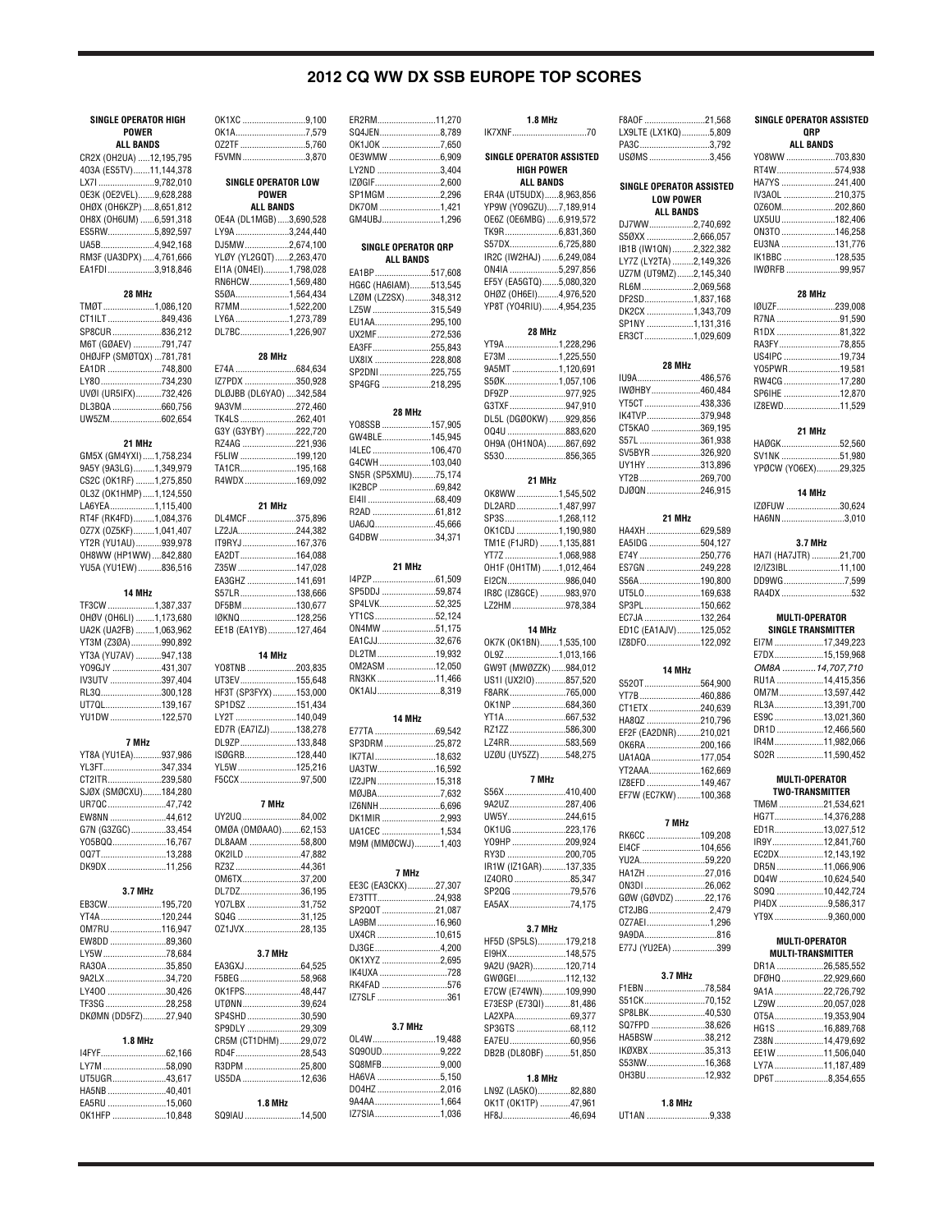# **2012 CQ WW DX SSB EUROPE TOP SCORES**

### **SINGLE OPERATOR HIGH POWER ALL BANDS**

| CR2X (OH2UA) 12,195,795 |  |
|-------------------------|--|
| 403A (ES5TV)11,144,378  |  |
| LX7I 9,782,010          |  |
| 0E3K (OE2VEL)9,628,288  |  |
| OHØX (OH6KZP)8,651,812  |  |
| OH8X (OH6UM) 6,591,318  |  |
| ES5RW5,892,597          |  |
| UA5B4,942,168           |  |
| RM3F (UA3DPX) 4,761,666 |  |
| EA1FDI 3,918,846        |  |
|                         |  |

#### **28 MHz** TMØT......................1,086,120 CT1ILT .............................849,436<br>SP8CUR .........................836.212 S836,212 M6T (GØAEV) ............791,747 OHØJFP (SMØTQX) ...781,781 EA1DR ....... LY80............................734,230<br>UVØI (UR5IFX)...........732,426 UVØI (UR5IFX).......<br>DL3BQA.................. DL3BQA .......................660,756<br>UW5ZM ............................602,654  $.602,654$

| 21 MHz                  |  |  |  |
|-------------------------|--|--|--|
| GM5X (GM4YXI)1,758,234  |  |  |  |
| 9A5Y (9A3LG)1,349,979   |  |  |  |
| CS2C (OK1RF) 1,275,850  |  |  |  |
| OL3Z (OK1HMP) 1,124,550 |  |  |  |
| LA6YEA1,115,400         |  |  |  |
| RT4F (RK4FD)1,084,376   |  |  |  |
| 0Z7X (0Z5KF)1,041,407   |  |  |  |
| YT2R (YU1AU)939,978     |  |  |  |
| OH8WW (HP1WW)842,880    |  |  |  |
| YU5A (YU1EW) 836,516    |  |  |  |

### **14 MHz**

| TF3CW 1,387,337        |  |
|------------------------|--|
| OHØV (OH6LI) 1,173,680 |  |
| UA2K (UA2FB) 1,063,962 |  |
| YT3M (Z3ØA)990,892     |  |
| YT3A (YU7AV) 947,138   |  |
| Y09GJY 431,307         |  |
| IV3UTV 397,404         |  |
| RL3Q300,128            |  |
| UT70L139.167           |  |
| YU1DW 122,570          |  |

#### **7 MHz**

| YT8A (YU1EA)937,986  |  |
|----------------------|--|
| YL3FT347,334         |  |
| CT2ITR239.580        |  |
| SJØX (SMØCXU)184,280 |  |
| UR7QC47,742          |  |
| EW8NN 44.612         |  |
| G7N (G3ZGC)33,454    |  |
| Y05BQQ16,767         |  |
| 007T13.288           |  |
| DK9DX 11,256         |  |

### **3.7 MHz**

| EB3CW195.720        |  |
|---------------------|--|
| YT4A 120.244        |  |
| 0M7RU 116,947       |  |
| EW8DD 89,360        |  |
| LY5W 78.684         |  |
| RA30A 35,850        |  |
| 9A2LX 34.720        |  |
| LY400 30.426        |  |
| TF3SG 28.258        |  |
| DKØMN (DD5FZ)27,940 |  |

### **1.8 MHz** I4FYF............................62,166 LY7M .................................58,090<br>UT5UGR.......................43.617 UT5UGR. HA5NB .........................40,401 EA5RU .........................15,060

OK1HFP .......................10,848

| SINGLE OPERATOR LOW<br><b>POWER</b>                                                                                                                                                       |  |
|-------------------------------------------------------------------------------------------------------------------------------------------------------------------------------------------|--|
| ALL BANDS<br>OE4A (DL1MGB) 3,690,528<br>LY9A 3,244,440<br>DJ5MW2,674,100<br>YLØY (YL2GQT) 2,263,470<br>EI1A (ON4EI)1,798,028<br>RN6HCW1,569,480<br>S5ØA1,564,434                          |  |
| R7MM1,522,200<br>LY6A 1,273,789<br>DL7BC1,226,907                                                                                                                                         |  |
| 28 MHz                                                                                                                                                                                    |  |
| E74A 684,634<br>IZ7PDX 350,928<br>DLØJBB (DL6YAO) 342,584<br>9A3VM272,460<br>TK4LS262,401<br>G3Y (G3YBY) 222,720<br>RZ4AG 221,936<br>F5LIW 199,120<br>TA1CR195,168                        |  |
| R4WDX 169,092                                                                                                                                                                             |  |
| 21 MHz<br>DL4MCF375,896<br>LZ2JA244,382<br>IT9RYJ167,376<br>EA2DT164,088                                                                                                                  |  |
| Z35W 147,028<br>EA3GHZ 141,691<br>S57LR138,666<br>DF5BM130,677<br>IØKNQ128,256<br>EE1B (EA1YB) 127,464                                                                                    |  |
| 14 MHz<br>YO8TNB203,835<br>UT3EV155,648<br>HF3T (SP3FYX)153,000<br>SP1DSZ 151,434<br>LY2T 140,049<br>ED7R (EA7IZJ)138,278<br>DL9ZP133,848<br>ISØGRB128,440<br>YL5W125,216<br>F5CCX 97,500 |  |
| 7 MHz                                                                                                                                                                                     |  |
| UY2UQ84,002<br>OMØA (OMØAAO)62,153<br>DL8AAM 58,800<br>OK2ILD 47,882<br>0M6TX37,200<br>DL7DZ36,195<br>Y07LBX 31,752<br>SQ4G 31,125<br>0Z1JVX28,135                                        |  |
| 3.7 MHz<br>EA3GXJ64,525<br>F5BEG 58,968                                                                                                                                                   |  |
| OK1FPS48,447<br>UTØNN39,624<br>SP4SHD30,590<br>SP9DLY 29,309<br>CR5M (CT1DHM)29,072                                                                                                       |  |
| RD4F28,543<br>R3DPM 25,800                                                                                                                                                                |  |

SQ9IAU ........................14,500

OK1XC ...........................9,100 OK1A..............................7,579

F5VMN...........................3,870

OZ2TF ............................5,760

| ER2RM11.270                          |             |
|--------------------------------------|-------------|
| SQ4JEN8,789                          |             |
| OK1JOK 7,650<br>0E3WMW 6,909         |             |
| LY2ND 3,404                          |             |
| IZØGIF2,600                          |             |
| SP1MGM 2,296                         |             |
| DK70M 1,421                          |             |
| GM4UBJ1,296                          |             |
| SINGLE OPERATOR QRP                  |             |
| <b>ALL BANDS</b>                     |             |
| EA1BP517,608                         |             |
| HG6C (HA6IAM)513,545                 |             |
| LZØM (LZ2SX)348,312                  |             |
| LZ5W 315,549<br>EU1AA295,100         |             |
| UX2MF272,536                         |             |
| EA3FF255,843                         |             |
| UX8IX 228,808                        |             |
| SP2DNI 225,755                       |             |
| SP4GFG 218,295                       |             |
| 28 MHz                               |             |
| YO8SSB 157,905                       |             |
| GW4BLE145,945                        |             |
| I4LEC 106,470                        |             |
| G4CWH103,040                         |             |
| SN5R (SP5XMU)75,174<br>IK2BCP 69,842 |             |
|                                      |             |
|                                      |             |
| UA6JQ45,666                          |             |
| G4DBW 34,371                         |             |
| 21 MHz                               |             |
| I4PZP61,509                          |             |
| SP5DDJ 59,874                        |             |
| SP4LVK52,325                         |             |
| YT1CS52,124                          |             |
| 0N4MW51,175                          |             |
| EA1CJJ32,676<br>DL2TM19,932          |             |
| 0M2ASM 12,050                        |             |
| RN3KK11,466                          |             |
| 0K1AIJ8,319                          |             |
| 14 MHz                               |             |
| E77TA 69,542                         |             |
| SP3DRM 25,872                        |             |
| IK7TAI18,632                         |             |
| UA3TW16,592<br>IZ2JPN 15,318         |             |
| MØJBA7,632                           |             |
| IZ6NNH6,696                          |             |
| DK1MIR2,993                          |             |
| UA1CEC 1,534                         |             |
| M9M (MMØCWJ)1,403                    |             |
| 7 MHz                                |             |
| EE3C (EA3CKX)27,307                  |             |
| E73TTT24,938                         |             |
| SP2Q0T 21,087                        |             |
| LA9BM16,960                          |             |
| UX4CR 10,615<br>DJ3GE4,200           |             |
| 0K1XYZ 2,695                         |             |
| IK4UXA 728                           |             |
| RK4FAD 576                           |             |
| IZ7SLF 361                           |             |
| 3.7 MHz                              |             |
| OL4W19,488                           |             |
| SQ90UD9,222                          |             |
| SQ8MFB9,000                          |             |
| HA6VA 5,150<br>DO4HZ 2,016           |             |
| 9A4AA1,664                           |             |
|                                      | IZ7SIA1,036 |

| IK7XNF70                                        |  |  |
|-------------------------------------------------|--|--|
| SINGLE OPERATOR ASSISTED                        |  |  |
| <b>HIGH POWER</b><br><b>ALL BANDS</b>           |  |  |
| ER4A (UT5UDX)8,963,856                          |  |  |
| YP9W (Y09GZU)7,189,914                          |  |  |
| OE6Z (OE6MBG) 6,919,572                         |  |  |
| TK9R6,831,360<br>S57DX6,725,880                 |  |  |
| IR2C (IW2HAJ) 6,249,084                         |  |  |
| ON4IA 5,297,856                                 |  |  |
| EF5Y (EA5GTQ)5,080,320                          |  |  |
| OHØZ (OH6EI)4,976,520<br>YP8T (YO4RIU)4,954,235 |  |  |
|                                                 |  |  |
| 28 MHz<br>YT9A 1,228,296                        |  |  |
| E73M 1,225,550                                  |  |  |
| 9A5MT1,120,691                                  |  |  |
| S5ØK1,057,106<br>DF9ZP 977,925                  |  |  |
| G3TXF 947,910                                   |  |  |
| DL5L (DGØ0KW) 929,856                           |  |  |
| 004U 883,620                                    |  |  |
| OH9A (OH1NOA)867,692                            |  |  |
| S530856,365                                     |  |  |
| 21 MHz                                          |  |  |
| OK8WW 1,545,502<br>DL2ARD1,487,997              |  |  |
| SP3S1,268,112                                   |  |  |
| OK1CDJ 1,190,980                                |  |  |
| TM1E (F1JRD) 1,135,881                          |  |  |
| YT7Z 1,068,988<br>OH1F (OH1TM) 1,012,464        |  |  |
| EI2CN986,040                                    |  |  |
| IR8C (IZ8GCE) 983,970                           |  |  |
| LZ2HM978,384                                    |  |  |
|                                                 |  |  |
| 14 MHz                                          |  |  |
| OK7K (OK1BN)1,535,100                           |  |  |
| OL9Z1,013,166                                   |  |  |
| GW9T (MWØZZK)984,012                            |  |  |
| US1I (UX2I0)857,520<br>F8ARK765,000             |  |  |
| OK1NP684,360                                    |  |  |
| YT1A667,532                                     |  |  |
| RZ1ZZ586,300                                    |  |  |
| LZ4RR583,569<br>UZØU (UY5ZZ)548,275             |  |  |
| 7 MHz                                           |  |  |
| S56X410,400                                     |  |  |
| 9A2UZ287,406                                    |  |  |
| UW5Y244,615                                     |  |  |
| OK1UG223,176<br>Y09HP 209,924                   |  |  |
| RY3D 200,705                                    |  |  |
| IR1W (IZ1GAR)137,335                            |  |  |
| IZ40R0 85,347                                   |  |  |
| SP2QG 79,576<br>EA5AX74,175                     |  |  |
| 3.7 MHz                                         |  |  |
| HF5D (SP5LS)179,218                             |  |  |
| EI9HX148,575                                    |  |  |
| 9A2U (9A2R)120,714                              |  |  |
| GWØGEI112,132                                   |  |  |
| E7CW (E74WN)109,990<br>E73ESP (E73QI)81,486     |  |  |
| LA2XPA69,377                                    |  |  |
| SP3GTS 68,112                                   |  |  |
| EA7EU60,956                                     |  |  |
| DB2B (DL80BF) 51,850                            |  |  |
| 1.8 MHz                                         |  |  |
| LN9Z (LA5KO)82,880<br>OK1T (OK1TP) 47,961       |  |  |

| <b>1.8 MHz</b>            | F8AOF 21,568                     |
|---------------------------|----------------------------------|
| 70                        | LX9LTE (LX1KQ)5,809<br>PA3C3,792 |
| <b>PERATOR ASSISTED</b>   | USØMS3,456                       |
| GH POWER                  |                                  |
| LL BANDS                  | <b>SINGLE OPERATOR ASSISTED</b>  |
| UDX)8,963,856             | <b>LOW POWER</b>                 |
| 9GZU)7,189,914            | <b>ALL BANDS</b>                 |
| MBG) 6,919,572            | DJ7WW2,740,692                   |
| 6,831,360                 | S50XX 2,666,057                  |
| 6,725,880                 | IB1B (IW1QN) 2,322,382           |
| HAJ) 6,249,084            | LY7Z (LY2TA) 2,149,326           |
| 5,297,856                 | UZ7M (UT9MZ)2,145,340            |
| GTQ)5,080,320             | RL6M2,069,568                    |
| 6EI)4,976,520             | DF2SD1,837,168                   |
| RIU)4,954,235             | DK2CX 1,343,709                  |
|                           | SP1NY 1,131,316                  |
| 28 MHz<br>1,228,296       | ER3CT1,029,609                   |
| 1,225,550                 |                                  |
| 1,120,691                 | 28 MHz                           |
| 1,057,106                 | IU9A486,576                      |
| 977,925                   | IWØHBY460,484                    |
| 947,910                   | YT5CT438,336                     |
| (ОКW) 929,856             | IK4TVP379,948                    |
| 883,620                   | CT5KAO 369,195                   |
| NOA)867,692               | S57L 361,938                     |
| 856,365                   | SV5BYR326,920                    |
|                           | UY1HY313,896                     |
| 21 MHz                    | YT2B 269,700                     |
| 1,545,502                 | DJØQN 246,915                    |
| 1,487,997                 |                                  |
| 1,268,112                 | 21 MHz                           |
| 1,190,980                 | HA4XH 629,589                    |
| RD) 1,135,881             | EA5IDG 504,127                   |
| 1,068,988                 | E74Y 250,776                     |
| TM) 1,012,464             | ES7GN 249,228                    |
| 986,040                   | S56A 190,800                     |
| CE) 983,970               | UT5L0169,638                     |
| 978,384                   | SP3PL150,662                     |
|                           | EC7JA 132,264                    |
| 14 MHz                    | ED1C (EA1AJV)125,052             |
| BN)1,535,100<br>1,013,166 | IZ8DF0122,092                    |
| /ØZZK)984,012             |                                  |
| 0)857,520                 | 14 MHz                           |
| 765,000                   | S520T564,900                     |
| 684,360                   | YT7B 460,886<br>CT1ETX240,639    |
| 667,532                   | HA8QZ 210,796                    |
| 586,300                   | EF2F (EA2DNR)210,021             |
| 583,569                   | OK6RA 200,166                    |
| iZZ)548,275               | UA1AQA177,054                    |
|                           | YT2AAA162,669                    |
| 7 MHz                     | IZ8EFD 149,467                   |
| 410,400                   | EF7W (EC7KW) 100,368             |
| 287,406                   |                                  |
| 244,615                   | 7 MHz                            |
| 223,176                   | RK6CC 109,208                    |
| 209,924                   | EI4CF 104,656                    |
| 200,705                   | YU2A59,220                       |
| GAR)137,335               | HA1ZH 27,016                     |
| 85,347                    | ON3DI 26,062                     |
| 79,576                    | GØW (GØVDZ) 22,176               |
| 74,175                    | CT2JBG2,479                      |
| 3.7 MHz                   | 0Z7AEI1,296                      |
| LS)179,218                |                                  |
| 148,575                   | E77J (YU2EA) 399                 |
| R)120,714                 |                                  |
| 112,132                   | 3.7 MHz                          |
| WN)109,990                | F1EBN78,584                      |
| 73QI)81,486               | S51CK70,152                      |
| 69,377                    | SP8LBK40,530                     |
|                           |                                  |
| 68,112                    | SQ7FPD 38,626                    |
| 60,956                    | HA5BSW 38,212                    |
| OBF) 51,850               | IKØXBX 35,313                    |
|                           | S53NW16,368<br>OH3BU12,932       |

### 880 961

| <b>1.8 MHz</b> |  |
|----------------|--|
| UT1AN 9.338    |  |

| 21,568    |                  | SINGLE OPERATOR ASSISTED                           |  |
|-----------|------------------|----------------------------------------------------|--|
| 5,809     | <b>QRP</b>       |                                                    |  |
| 3,792     | <b>ALL BANDS</b> |                                                    |  |
| 3,456     |                  | Y08WW703,830                                       |  |
|           |                  | RT4W574,938                                        |  |
| ASSISTED  |                  | HA7YS 241,400                                      |  |
| R         |                  | IV3AOL 210,375                                     |  |
| š         |                  | 0Z60M202,860                                       |  |
| 2,740,692 |                  | UX5UU182,406                                       |  |
| 2,666,057 |                  | 0N3T0 146,258                                      |  |
| 2,322,382 |                  | EU3NA 131,776                                      |  |
| 2,149,326 |                  | IK1BBC 128,535                                     |  |
| 2,145,340 |                  | IWØRFB99,957                                       |  |
| 2,069,568 |                  |                                                    |  |
| 837,168   |                  | <b>28 MHz</b>                                      |  |
| ,343,709  |                  | IØUZF239,008                                       |  |
| 131,316   |                  | R7NA 91,590                                        |  |
| ,029,609  |                  | R1DX 81,322                                        |  |
|           |                  | RA3FY78,855                                        |  |
|           |                  | US4IPC 19,734                                      |  |
| .486,576  |                  | Y05PWR19,581                                       |  |
| 460,484   |                  | RW4CG 17,280                                       |  |
| .438,336  |                  | SP6IHE 12,870                                      |  |
| 379,948   |                  | IZ8EWD11,529                                       |  |
| 369,195   |                  |                                                    |  |
| 361,938   |                  | 21 MHz                                             |  |
| 326,920   |                  | HAØGK52,560                                        |  |
| 313,896   |                  | SV1NK 51,980                                       |  |
| 269,700   |                  | YPØCW (YO6EX)29,325                                |  |
| 246,915   |                  |                                                    |  |
|           |                  | 14 MHz                                             |  |
|           |                  | IZØFUW 30,624                                      |  |
|           |                  | HA6NN3,010                                         |  |
| 629,589   |                  |                                                    |  |
| 504,127   |                  | 3.7 MHz                                            |  |
| 250,776   |                  | HA7I (HA7JTR) 21,700                               |  |
| 249,228   |                  | I2/IZ3IBL11,100                                    |  |
| 190,800   |                  | DD9WG7,599                                         |  |
| 169,638   |                  | RA4DX 532                                          |  |
| 150.662   |                  |                                                    |  |
| 132,264   |                  | <b>MULTI-OPERATOR</b><br><b>SINGLE TRANSMITTER</b> |  |
| 125,052   |                  |                                                    |  |
| 122,092   |                  | EI7M 17,349,223                                    |  |
|           |                  | E7DX15,159,968                                     |  |
|           |                  | OM8A 14,707,710                                    |  |
| 564,900   |                  | RU1A 14,415,356                                    |  |
| .460,886  |                  | OM7M13,597,442                                     |  |
| 240,639   |                  | RL3A13,391,700                                     |  |
| .210,796  |                  | ES9C13,021,360                                     |  |
| 210,021   |                  | DR1D 12,466,560                                    |  |
| .200, 166 |                  | IR4M11,982,066                                     |  |
| 177,054   |                  | SO2R 11,590,452                                    |  |
| 162,669   |                  |                                                    |  |
| 149,467   |                  | MULTI-OPERATOR                                     |  |
| 100,368   |                  | <b>TWO-TRANSMITTER</b>                             |  |
|           |                  | TM6M 21,534,621                                    |  |
|           |                  | HG7T14,376,288                                     |  |
|           |                  | FD1R 13 027 512                                    |  |

|  | 1197 - 1 14.97 0.400 |
|--|----------------------|
|  | ED1R13,027.512       |
|  | IR9Y12,841,760       |
|  | EC2DX12,143,192      |
|  | DR5N 11.066.906      |
|  | DQ4W 10,624,540      |
|  | S090 10.442.724      |
|  | PI4DX 9.586.317      |
|  | YT9X 9,360,000       |
|  |                      |

### **MULTI-OPERATOR MULTI-TRANSMITTER**

| DR1A 26.585.552 |
|-----------------|
| DFØHQ22,929,660 |
| 9A1A22,726,792  |
| LZ9W 20,057,028 |
| 0T5A19.353.904  |
| HG1S 16,889,768 |
| Z38N 14,479,692 |
| EE1W 11,506.040 |
| LY7A11,187,489  |
| DP6T8,354,655   |
|                 |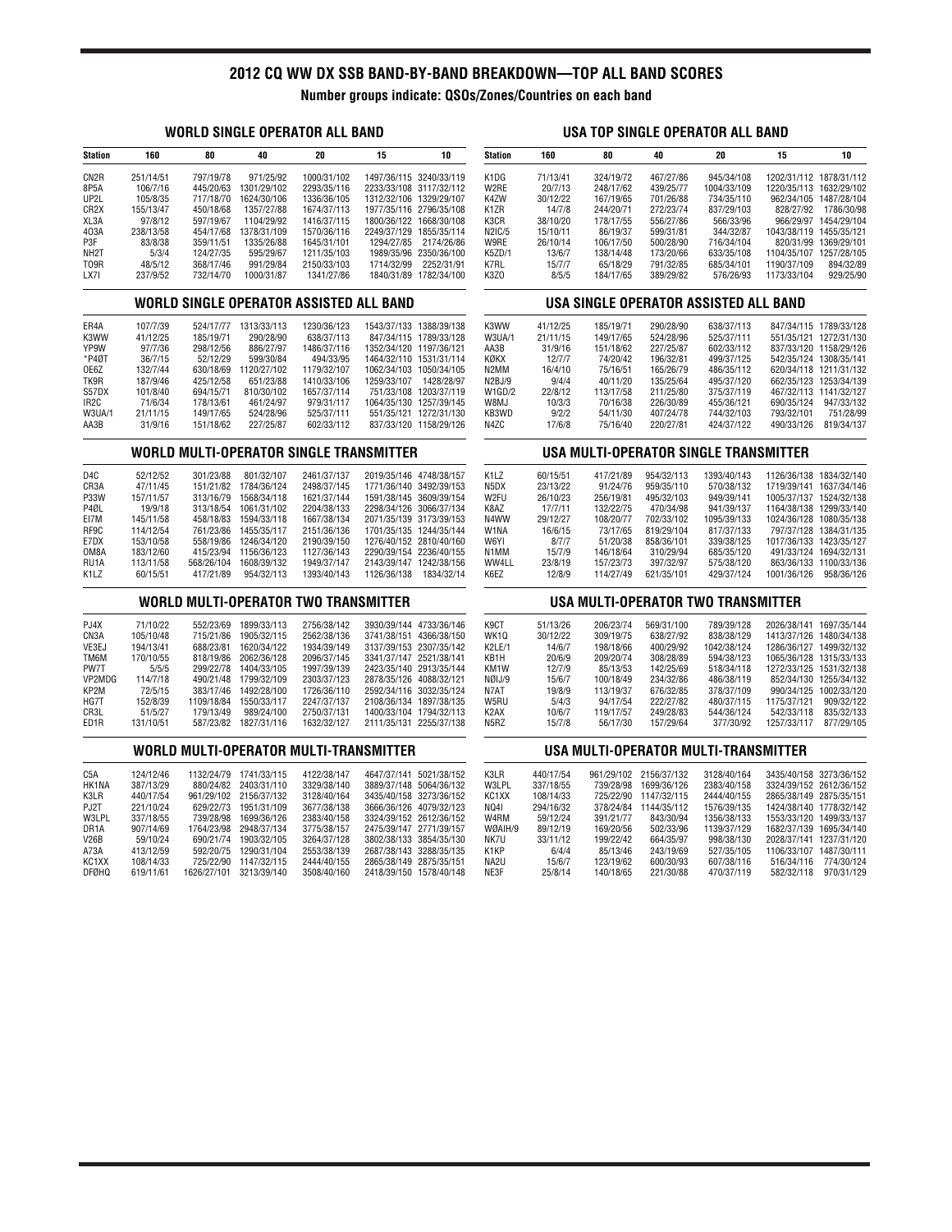# **2012 CQ WW DX SSB BAND-BY-BAND BREAKDOWN—TOP ALL BAND SCORES**

**Number groups indicate: QSOs/Zones/Countries on each band**

# **WORLD SINGLE OPERATOR ALL BAND**

|                                                | <b>WORLD SINGLE OPERATOR ALL BAND</b>  |                        |                         |                                         |                                       |                                                   | USA TOP SINGLE OPERATOR ALL BAND |                  |                      |                                      |                                           |                          |                         |
|------------------------------------------------|----------------------------------------|------------------------|-------------------------|-----------------------------------------|---------------------------------------|---------------------------------------------------|----------------------------------|------------------|----------------------|--------------------------------------|-------------------------------------------|--------------------------|-------------------------|
| <b>Station</b>                                 | 160                                    | 80                     | 40                      | 20                                      | 15                                    | 10                                                | <b>Station</b>                   | 160              | 80                   | 40                                   | 20                                        | 15                       | 10                      |
| CN <sub>2R</sub>                               | 251/14/51                              | 797/19/78              | 971/25/92               | 1000/31/102                             |                                       | 1497/36/115 3240/33/119                           | K1DG                             | 71/13/41         | 324/19/72            | 467/27/86                            | 945/34/108                                |                          | 1202/31/112 1878/31/112 |
| 8P5A                                           | 106/7/16                               | 445/20/63              | 1301/29/102             | 2293/35/116                             |                                       | 2233/33/108 3117/32/112                           | W2RE                             | 20/7/13          | 248/17/62            | 439/25/77                            | 1004/33/109                               |                          | 1220/35/113 1632/29/102 |
| UP2L                                           | 105/8/35                               | 717/18/70              | 1624/30/106             | 1336/36/105                             |                                       | 1312/32/106 1329/29/107                           | K4ZW                             | 30/12/22         | 167/19/65            | 701/26/88                            | 734/35/110                                |                          | 962/34/105 1487/28/104  |
| CR <sub>2</sub> X                              | 155/13/47                              | 450/18/68              | 1357/27/88              | 1674/37/113                             |                                       | 1977/35/116 2796/35/108                           | K <sub>1</sub> ZR                | 14/7/8           | 244/20/71            | 272/23/74                            | 837/29/103                                | 828/27/92                | 1786/30/98              |
| XL3A                                           | 97/8/12                                | 597/19/67              | 1104/29/92              | 1416/37/115                             |                                       | 1800/36/122 1668/30/108                           | K3CR                             | 38/10/20         | 178/17/55            | 556/27/86                            | 566/33/96                                 |                          | 966/29/97 1454/29/104   |
| 403A                                           | 238/13/58                              | 454/17/68              | 1378/31/109             | 1570/36/116                             |                                       | 2249/37/129 1855/35/114                           | N2IC/5                           | 15/10/11         | 86/19/37             | 599/31/81                            | 344/32/87                                 | 1043/38/119 1455/35/121  |                         |
| P3F                                            | 83/8/38                                | 359/11/51              | 1335/26/88              | 1645/31/101                             | 1294/27/85                            | 2174/26/86                                        | W9RE                             | 26/10/14         | 106/17/50            | 500/28/90                            | 716/34/104                                |                          | 820/31/99 1369/29/101   |
| NH <sub>2</sub> T                              | 5/3/4                                  | 124/27/35              | 595/29/67               | 1211/35/103                             |                                       | 1989/35/96 2350/36/100                            | K5ZD/1                           | 13/6/7           | 138/14/48            | 173/20/66                            | 633/35/108                                | 1104/35/107 1257/28/105  |                         |
| T09R                                           | 48/5/12                                | 368/17/46              | 991/29/84               | 2150/33/103                             | 1714/32/99                            | 2252/31/91                                        | K7RL                             | 15/7/7           | 65/18/29             | 791/32/85                            | 685/34/101                                | 1190/37/109              | 894/32/89               |
| LX7I                                           | 237/9/52                               | 732/14/70              | 1000/31/87              | 1341/27/86                              |                                       | 1840/31/89 1782/34/100                            | K3Z0                             | 8/5/5            | 184/17/65            | 389/29/82                            | 576/26/93                                 | 1173/33/104              | 929/25/90               |
|                                                |                                        |                        |                         | WORLD SINGLE OPERATOR ASSISTED ALL BAND |                                       |                                                   |                                  |                  |                      |                                      | USA SINGLE OPERATOR ASSISTED ALL BAND     |                          |                         |
| ER4A                                           | 107/7/39                               |                        | 524/17/77 1313/33/113   | 1230/36/123                             |                                       | 1543/37/133 1388/39/138                           | K3WW                             | 41/12/25         | 185/19/71            | 290/28/90                            | 638/37/113                                |                          | 847/34/115 1789/33/128  |
| K3WW                                           | 41/12/25                               | 185/19/71              | 290/28/90               | 638/37/113                              |                                       | 847/34/115 1789/33/128                            | W3UA/1                           | 21/11/15         | 149/17/65            | 524/28/96                            | 525/37/111                                |                          | 551/35/121 1272/31/130  |
| YP9W                                           | 97/7/36                                | 298/12/56              | 886/27/97               | 1486/37/116                             |                                       | 1352/34/120 1197/36/121                           | AA3B                             | 31/9/16          | 151/18/62            | 227/25/87                            | 602/33/112                                |                          | 837/33/120 1158/29/126  |
| *P4ØT                                          | 36/7/15                                | 52/12/29               | 599/30/84               | 494/33/95                               |                                       | 1464/32/110 1531/31/114                           | KØKX                             | 12/7/7           | 74/20/42             | 196/32/81                            | 499/37/125                                |                          | 542/35/124 1308/35/141  |
| OE6Z                                           | 132/7/44                               | 630/18/69              | 1120/27/102             | 1179/32/107                             |                                       | 1062/34/103 1050/34/105                           | N2MM                             | 16/4/10          | 75/16/51             | 165/26/79                            | 486/35/112                                |                          | 620/34/118 1211/31/132  |
| TK9R                                           | 187/9/46                               | 425/12/58              | 651/23/88               | 1410/33/106                             | 1259/33/107                           | 1428/28/97                                        | N2BJ/9                           | 9/4/4<br>22/8/12 | 40/11/20             | 135/25/64                            | 495/37/120                                |                          | 662/35/123 1253/34/139  |
| S57DX                                          | 101/8/40                               | 694/15/71              | 810/30/102              | 1657/37/114                             |                                       | 751/33/108 1203/37/119                            | W1GD/2                           |                  | 113/17/58            | 211/25/80                            | 375/37/119                                |                          | 467/32/113 1141/32/127  |
| IR <sub>2</sub> C<br>W3UA/1                    | 71/6/34<br>21/11/15                    | 178/13/61<br>149/17/65 | 461/24/97<br>524/28/96  | 979/31/117<br>525/37/111                |                                       | 1064/35/130 1257/39/145<br>551/35/121 1272/31/130 | W8MJ<br>KB3WD                    | 10/3/3<br>9/2/2  | 70/16/38<br>54/11/30 | 226/30/89<br>407/24/78               | 455/36/121<br>744/32/103                  | 690/35/124<br>793/32/101 | 947/33/132<br>751/28/99 |
| AA3B                                           | 31/9/16                                | 151/18/62              | 227/25/87               | 602/33/112                              |                                       | 837/33/120 1158/29/126                            | N4ZC                             | 17/6/8           | 75/16/40             | 220/27/81                            | 424/37/122                                | 490/33/126               | 819/34/137              |
| <b>WORLD MULTI-OPERATOR SINGLE TRANSMITTER</b> |                                        |                        |                         |                                         | USA MULTI-OPERATOR SINGLE TRANSMITTER |                                                   |                                  |                  |                      |                                      |                                           |                          |                         |
| D <sub>4</sub> C                               | 52/12/52                               | 301/23/88              | 801/32/107              | 2461/37/137                             |                                       | 2019/35/146 4748/38/157                           | K <sub>1</sub> LZ                | 60/15/51         | 417/21/89            | 954/32/113                           | 1393/40/143                               |                          | 1126/36/138 1834/32/140 |
| CR3A                                           | 47/11/45                               | 151/21/82              | 1784/36/124             | 2498/37/145                             |                                       | 1771/36/140 3492/39/153                           | N <sub>5</sub> D <sub>X</sub>    | 23/13/22         | 91/24/76             | 959/35/110                           | 570/38/132                                | 1719/39/141 1637/34/146  |                         |
| P33W                                           | 157/11/57                              | 313/16/79              | 1568/34/118             | 1621/37/144                             |                                       | 1591/38/145 3609/39/154                           | W2FU                             | 26/10/23         | 256/19/81            | 495/32/103                           | 949/39/141                                |                          | 1005/37/137 1524/32/138 |
| P4ØL                                           | 19/9/18                                | 313/18/54              | 1061/31/102             | 2204/38/133                             |                                       | 2298/34/126 3066/37/134                           | K8AZ                             | 17/7/11          | 132/22/75            | 470/34/98                            | 941/39/137                                |                          | 1164/38/138 1299/33/140 |
| EI7M                                           | 145/11/58                              | 458/18/83              | 1594/33/118             | 1667/38/134                             |                                       | 2071/35/139 3173/39/153                           | N4WW                             | 29/12/27         | 108/20/77            | 702/33/102                           | 1095/39/133                               |                          | 1024/36/128 1080/35/138 |
| RF9C                                           | 114/12/54                              | 761/23/86              | 1455/35/117             | 2151/36/136                             |                                       | 1701/35/135 1244/35/144                           | W1NA                             | 16/6/15          | 73/17/65             | 819/29/104                           | 817/37/133                                |                          | 797/37/128 1384/31/135  |
| E7DX                                           | 153/10/58                              | 558/19/86              | 1246/34/120             | 2190/39/150                             |                                       | 1276/40/152 2810/40/160                           | W6YI                             | 8/7/7            | 51/20/38             | 858/36/101                           | 339/38/125                                | 1017/36/133 1423/35/127  |                         |
| OM8A                                           | 183/12/60                              | 415/23/94              | 1156/36/123             | 1127/36/143                             |                                       | 2290/39/154 2236/40/155                           | N1MM                             | 15/7/9           | 146/18/64            | 310/29/94                            | 685/35/120                                |                          | 491/33/124 1694/32/131  |
| RU1A                                           | 113/11/58                              | 568/26/104             | 1608/39/132             | 1949/37/147                             |                                       | 2143/39/147 1242/38/156                           | WW4LL                            | 23/8/19          | 157/23/73            | 397/32/97                            | 575/38/120                                |                          | 863/36/133 1100/33/136  |
| K <sub>1</sub> LZ                              | 60/15/51                               | 417/21/89              | 954/32/113              | 1393/40/143                             |                                       | 1126/36/138 1834/32/14                            | K6EZ                             | 12/8/9           | 114/27/49            | 621/35/101                           | 429/37/124                                | 1001/36/126 958/36/126   |                         |
|                                                |                                        |                        |                         | WORLD MULTI-OPERATOR TWO TRANSMITTER    |                                       |                                                   |                                  |                  |                      |                                      | <b>USA MULTI-OPERATOR TWO TRANSMITTER</b> |                          |                         |
| PJ4X                                           | 71/10/22                               | 552/23/69              | 1899/33/113             | 2756/38/142                             |                                       | 3930/39/144 4733/36/146                           | K <sub>9</sub> CT                | 51/13/26         | 206/23/74            | 569/31/100                           | 789/39/128                                |                          | 2026/38/141 1697/35/144 |
| CN <sub>3</sub> A                              | 105/10/48                              | 715/21/86              | 1905/32/115             | 2562/38/136                             |                                       | 3741/38/151 4366/38/150                           | WK10                             | 30/12/22         | 309/19/75            | 638/27/92                            | 838/38/129                                |                          | 1413/37/126 1480/34/138 |
| VE3EJ                                          | 194/13/41                              | 688/23/81              | 1620/34/122             | 1934/39/149                             |                                       | 3137/39/153 2307/35/142                           | K2LE/1                           | 14/6/7           | 198/18/66            | 400/29/92                            | 1042/38/124                               |                          | 1286/36/127 1499/32/132 |
| TM6M                                           | 170/10/55                              |                        | 818/19/86 2062/36/128   | 2096/37/145                             |                                       | 3341/37/147 2521/38/141                           | KB1H                             | 20/6/9           | 209/20/74            | 308/28/89                            | 594/38/123                                |                          | 1065/36/128 1315/33/133 |
| PW7T                                           | 5/5/5                                  | 299/22/78              | 1404/33/105             | 1997/39/139                             |                                       | 2423/35/140 2913/35/144                           | KM1W                             | 12/7/9           | 85/13/53             | 142/25/69                            | 518/34/118                                |                          | 1272/33/125 1531/32/138 |
| VP2MDG                                         | 114/7/18                               | 490/21/48              | 1799/32/109             | 2303/37/123                             |                                       | 2878/35/126 4088/32/121                           | NØIJ/9                           | 15/6/7           | 100/18/49            | 234/32/86                            | 486/38/119                                |                          | 852/34/130 1255/34/132  |
| KP2M                                           | 72/5/15                                | 383/17/46              | 1492/28/100             | 1726/36/110                             |                                       | 2592/34/116 3032/35/124                           | N7AT                             | 19/8/9           | 113/19/37            | 676/32/85                            | 378/37/109                                |                          | 990/34/125 1002/33/120  |
| HG7T                                           | 152/8/39                               | 1109/18/84             | 1550/33/117             | 2247/37/137                             |                                       | 2108/36/134 1897/38/135                           | W5RU                             | 5/4/3            | 94/17/54             | 222/27/82                            | 480/37/115                                | 1175/37/121              | 909/32/122              |
| CR3L                                           | 51/5/27                                | 179/13/49              | 989/24/100              | 2750/37/131                             |                                       | 1400/33/104 1794/32/113                           | K <sub>2</sub> AX                | 10/6/7           | 119/17/57            | 249/28/83                            | 544/36/124                                | 542/33/118               | 835/32/133              |
| ED <sub>1R</sub>                               | 131/10/51                              |                        | 587/23/82 1827/31/116   | 1632/32/127                             |                                       | 2111/35/131 2255/37/138                           | N <sub>5</sub> R <sub>Z</sub>    | 15/7/8           | 56/17/30             | 157/29/64                            | 377/30/92                                 | 1257/33/117              | 877/29/105              |
|                                                | WORLD MULTI-OPERATOR MULTI-TRANSMITTER |                        |                         |                                         |                                       |                                                   |                                  |                  |                      | USA MULTI-OPERATOR MULTI-TRANSMITTER |                                           |                          |                         |
| C5A                                            | 124/12/46                              | 1132/24/79             | 1741/33/115             | 4122/38/147                             |                                       | 4647/37/141 5021/38/152                           | K3LR                             | 440/17/54        |                      | 961/29/102 2156/37/132               | 3128/40/164                               |                          | 3435/40/158 3273/36/152 |
| HK1NA                                          | 387/13/29                              | 880/24/82              | 2403/31/110             | 3329/38/140                             |                                       | 3889/37/148 5064/36/132                           | W3LPL                            | 337/18/55        | 739/28/98            | 1699/36/126                          | 2383/40/158                               | 3324/39/152 2612/36/152  |                         |
| K3LR                                           | 440/17/54                              | 961/29/102             | 2156/37/132             | 3128/40/164                             |                                       | 3435/40/158 3273/36/152                           | KC1XX                            | 108/14/33        | 725/22/90            | 1147/32/115                          | 2444/40/155                               | 2865/38/149 2875/35/151  |                         |
| PJ2T                                           | 221/10/24                              | 629/22/73              | 1951/31/109             | 3677/38/138                             |                                       | 3666/36/126 4079/32/123                           | NQ41                             | 294/16/32        | 378/24/84            | 1144/35/112                          | 1576/39/135                               |                          | 1424/38/140 1778/32/142 |
| W3LPL                                          | 337/18/55                              | 739/28/98              | 1699/36/126             | 2383/40/158                             |                                       | 3324/39/152 2612/36/152                           | W4RM                             | 59/12/24         | 391/21/77            | 843/30/94                            | 1356/38/133                               | 1553/33/120 1499/33/137  |                         |
| DR1A                                           | 907/14/69                              | 1764/23/98             | 2948/37/134             | 3775/38/157                             |                                       | 2475/39/147 2771/39/157                           | WØAIH/9                          | 89/12/19         | 169/20/56            | 502/33/96                            | 1139/37/129                               |                          | 1682/37/139 1695/34/140 |
| V26B                                           | 59/10/24                               | 690/21/74              | 1903/32/105             | 3264/37/128                             |                                       | 3802/38/133 3854/35/130                           | NK7U                             | 33/11/12         | 199/22/42            | 664/35/97                            | 998/38/130                                |                          | 2028/37/141 1237/31/120 |
| A73A                                           | 413/12/59                              | 592/20/75              | 1290/31/104             | 2553/38/139                             |                                       | 2687/38/143 3288/35/135                           | K <sub>1</sub> KP                | 6/4/4            | 85/13/46             | 243/19/69                            | 527/35/105                                |                          | 1106/33/107 1487/30/111 |
| KC1XX                                          | 108/14/33                              | 725/22/90              | 1147/32/115             | 2444/40/155                             |                                       | 2865/38/149 2875/35/151                           | NA2U                             | 15/6/7           | 123/19/62            | 600/30/93                            | 607/38/116                                | 516/34/116               | 774/30/124              |
| <b>DFØHQ</b>                                   | 619/11/61                              |                        | 1626/27/101 3213/39/140 | 3508/40/160                             |                                       | 2418/39/150 1578/40/148                           | NE3F                             | 25/8/14          | 140/18/65            | 221/30/88                            | 470/37/119                                |                          | 582/32/118 970/31/129   |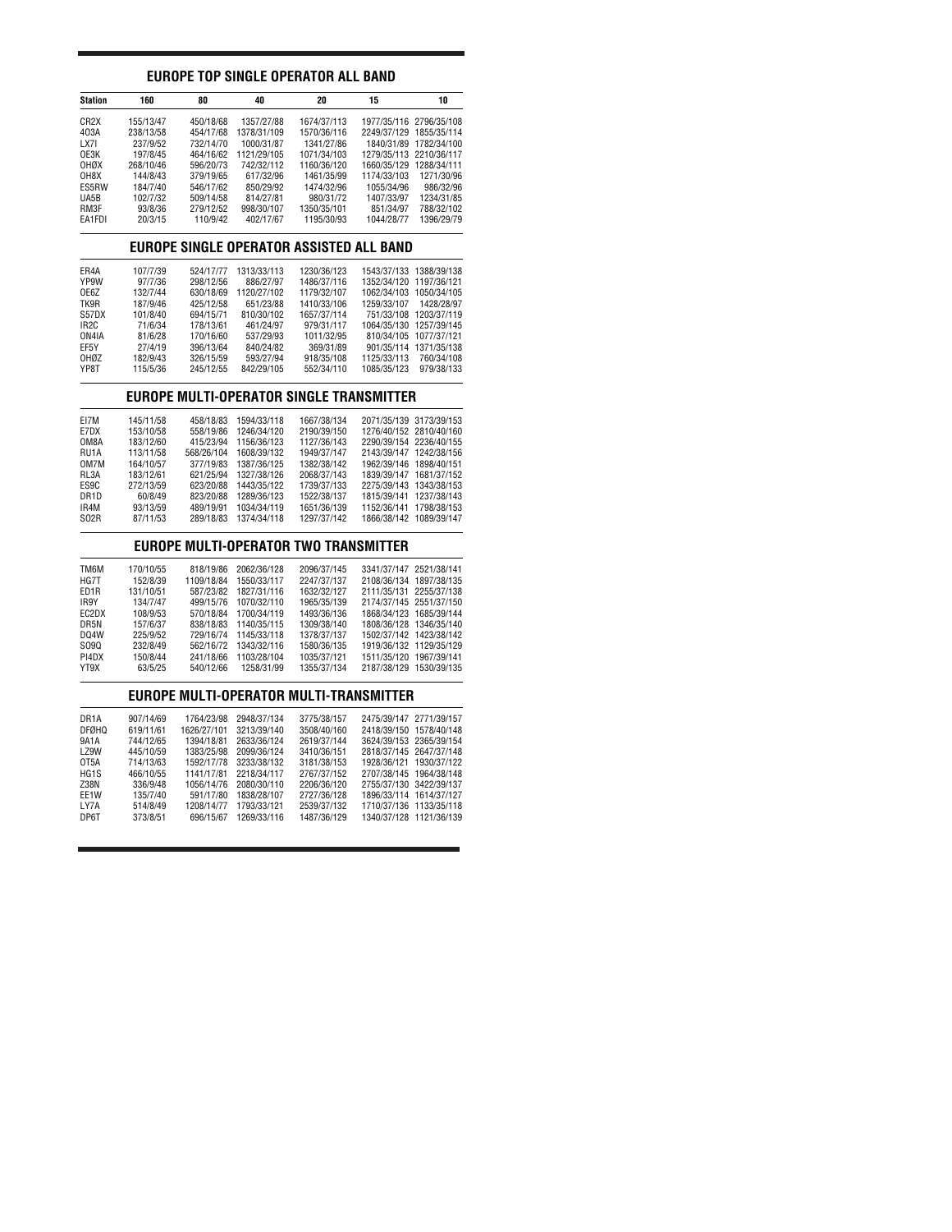## **EUROPE TOP SINGLE OPERATOR ALL BAND**

| Station           | 160       | 80        | 40          | 20          | 15                      | 10                      |
|-------------------|-----------|-----------|-------------|-------------|-------------------------|-------------------------|
| CR <sub>2</sub> X | 155/13/47 | 450/18/68 | 1357/27/88  | 1674/37/113 |                         | 1977/35/116 2796/35/108 |
| 403A              | 238/13/58 | 454/17/68 | 1378/31/109 | 1570/36/116 | 2249/37/129 1855/35/114 |                         |
| LX71              | 237/9/52  | 732/14/70 | 1000/31/87  | 1341/27/86  | 1840/31/89              | 1782/34/100             |
| OE3K              | 197/8/45  | 464/16/62 | 1121/29/105 | 1071/34/103 |                         | 1279/35/113 2210/36/117 |
| <b>OHØX</b>       | 268/10/46 | 596/20/73 | 742/32/112  | 1160/36/120 | 1660/35/129             | 1288/34/111             |
| OH8X              | 144/8/43  | 379/19/65 | 617/32/96   | 1461/35/99  | 1174/33/103             | 1271/30/96              |
| ES5RW             | 184/7/40  | 546/17/62 | 850/29/92   | 1474/32/96  | 1055/34/96              | 986/32/96               |
| UA5B              | 102/7/32  | 509/14/58 | 814/27/81   | 980/31/72   | 1407/33/97              | 1234/31/85              |
| RM3F              | 93/8/36   | 279/12/52 | 998/30/107  | 1350/35/101 | 851/34/97               | 788/32/102              |
| EA1FDI            | 20/3/15   | 110/9/42  | 402/17/67   | 1195/30/93  | 1044/28/77              | 1396/29/79              |

### **EUROPE SINGLE OPERATOR ASSISTED ALL BAND**

| ER4A<br>YP9W      | 107/7/39<br>97/7/36 | 524/17/77<br>298/12/56 | 1313/33/113<br>886/27/97 | 1230/36/123<br>1486/37/116 | 1543/37/133<br>1352/34/120 1197/36/121 | 1388/39/138             |
|-------------------|---------------------|------------------------|--------------------------|----------------------------|----------------------------------------|-------------------------|
| OE6Z              | 132/7/44            | 630/18/69              | 1120/27/102              | 1179/32/107                | 1062/34/103                            | 1050/34/105             |
| TK9R              | 187/9/46            | 425/12/58              | 651/23/88                | 1410/33/106                | 1259/33/107                            | 1428/28/97              |
| S57DX             | 101/8/40            | 694/15/71              | 810/30/102               | 1657/37/114                | 751/33/108                             | 1203/37/119             |
| IR <sub>2</sub> C | 71/6/34             | 178/13/61              | 461/24/97                | 979/31/117                 |                                        | 1064/35/130 1257/39/145 |
| ON4IA             | 81/6/28             | 170/16/60              | 537/29/93                | 1011/32/95                 | 810/34/105                             | 1077/37/121             |
| EF5Y              | 27/4/19             | 396/13/64              | 840/24/82                | 369/31/89                  | 901/35/114                             | 1371/35/138             |
| OHØZ              | 182/9/43            | 326/15/59              | 593/27/94                | 918/35/108                 | 1125/33/113                            | 760/34/108              |
| YP8T              | 115/5/36            | 245/12/55              | 842/29/105               | 552/34/110                 | 1085/35/123                            | 979/38/133              |
|                   |                     |                        |                          |                            |                                        |                         |

### **EUROPE MULTI-OPERATOR SINGLE TRANSMITTER**

| EI7M              | 145/11/58 | 458/18/83  | 1594/33/118 | 1667/38/134 | 2071/35/139 3173/39/153 |             |
|-------------------|-----------|------------|-------------|-------------|-------------------------|-------------|
| E7DX              | 153/10/58 | 558/19/86  | 1246/34/120 | 2190/39/150 | 1276/40/152 2810/40/160 |             |
| OM8A              | 183/12/60 | 415/23/94  | 1156/36/123 | 1127/36/143 | 2290/39/154 2236/40/155 |             |
| RU <sub>1</sub> A | 113/11/58 | 568/26/104 | 1608/39/132 | 1949/37/147 | 2143/39/147 1242/38/156 |             |
| OM7M              | 164/10/57 | 377/19/83  | 1387/36/125 | 1382/38/142 | 1962/39/146 1898/40/151 |             |
| RL3A              | 183/12/61 | 621/25/94  | 1327/38/126 | 2068/37/143 | 1839/39/147             | 1681/37/152 |
| ES9C              | 272/13/59 | 623/20/88  | 1443/35/122 | 1739/37/133 | 2275/39/143 1343/38/153 |             |
| DR <sub>1</sub> D | 60/8/49   | 823/20/88  | 1289/36/123 | 1522/38/137 | 1815/39/141             | 1237/38/143 |
| IR4M              | 93/13/59  | 489/19/91  | 1034/34/119 | 1651/36/139 | 1152/36/141             | 1798/38/153 |
| S <sub>02R</sub>  | 87/11/53  | 289/18/83  | 1374/34/118 | 1297/37/142 | 1866/38/142 1089/39/147 |             |
|                   |           |            |             |             |                         |             |

### **EUROPE MULTI-OPERATOR TWO TRANSMITTER**

| TM6M              | 170/10/55 | 818/19/86  | 2062/36/128 | 2096/37/145 | 3341/37/147 2521/38/141 |                         |
|-------------------|-----------|------------|-------------|-------------|-------------------------|-------------------------|
| HG7T              | 152/8/39  | 1109/18/84 | 1550/33/117 | 2247/37/137 | 2108/36/134 1897/38/135 |                         |
| ED1R              | 131/10/51 | 587/23/82  | 1827/31/116 | 1632/32/127 | 2111/35/131 2255/37/138 |                         |
| IR9Y              | 134/7/47  | 499/15/76  | 1070/32/110 | 1965/35/139 | 2174/37/145 2551/37/150 |                         |
| EC2DX             | 108/9/53  | 570/18/84  | 1700/34/119 | 1493/36/136 |                         | 1868/34/123 1685/39/144 |
| DR5N              | 157/6/37  | 838/18/83  | 1140/35/115 | 1309/38/140 |                         | 1808/36/128 1346/35/140 |
| D <sub>04</sub> W | 225/9/52  | 729/16/74  | 1145/33/118 | 1378/37/137 |                         | 1502/37/142 1423/38/142 |
| S090              | 232/8/49  | 562/16/72  | 1343/32/116 | 1580/36/135 |                         | 1919/36/132 1129/35/129 |
| PI4DX             | 150/8/44  | 241/18/66  | 1103/28/104 | 1035/37/121 | 1511/35/120 1967/39/141 |                         |
| YT9X              | 63/5/25   | 540/12/66  | 1258/31/99  | 1355/37/134 | 2187/38/129 1530/39/135 |                         |

### **EUROPE MULTI-OPERATOR MULTI-TRANSMITTER**

| DR <sub>1</sub> A | 907/14/69 | 1764/23/98  | 2948/37/134 | 3775/38/157 | 2475/39/147 2771/39/157 |                         |
|-------------------|-----------|-------------|-------------|-------------|-------------------------|-------------------------|
| <b>DFØHQ</b>      | 619/11/61 | 1626/27/101 | 3213/39/140 | 3508/40/160 | 2418/39/150 1578/40/148 |                         |
| 9A1A              | 744/12/65 | 1394/18/81  | 2633/36/124 | 2619/37/144 | 3624/39/153 2365/39/154 |                         |
| <b>LZ9W</b>       | 445/10/59 | 1383/25/98  | 2099/36/124 | 3410/36/151 | 2818/37/145 2647/37/148 |                         |
| OT <sub>5</sub> A | 714/13/63 | 1592/17/78  | 3233/38/132 | 3181/38/153 | 1928/36/121 1930/37/122 |                         |
| HG <sub>1</sub> S | 466/10/55 | 1141/17/81  | 2218/34/117 | 2767/37/152 | 2707/38/145 1964/38/148 |                         |
| Z38N              | 336/9/48  | 1056/14/76  | 2080/30/110 | 2206/36/120 | 2755/37/130 3422/39/137 |                         |
| EE1W              | 135/7/40  | 591/17/80   | 1838/28/107 | 2727/36/128 |                         | 1896/33/114 1614/37/127 |
| LY7A              | 514/8/49  | 1208/14/77  | 1793/33/121 | 2539/37/132 | 1710/37/136 1133/35/118 |                         |
| DP6T              | 373/8/51  | 696/15/67   | 1269/33/116 | 1487/36/129 | 1340/37/128 1121/36/139 |                         |
|                   |           |             |             |             |                         |                         |